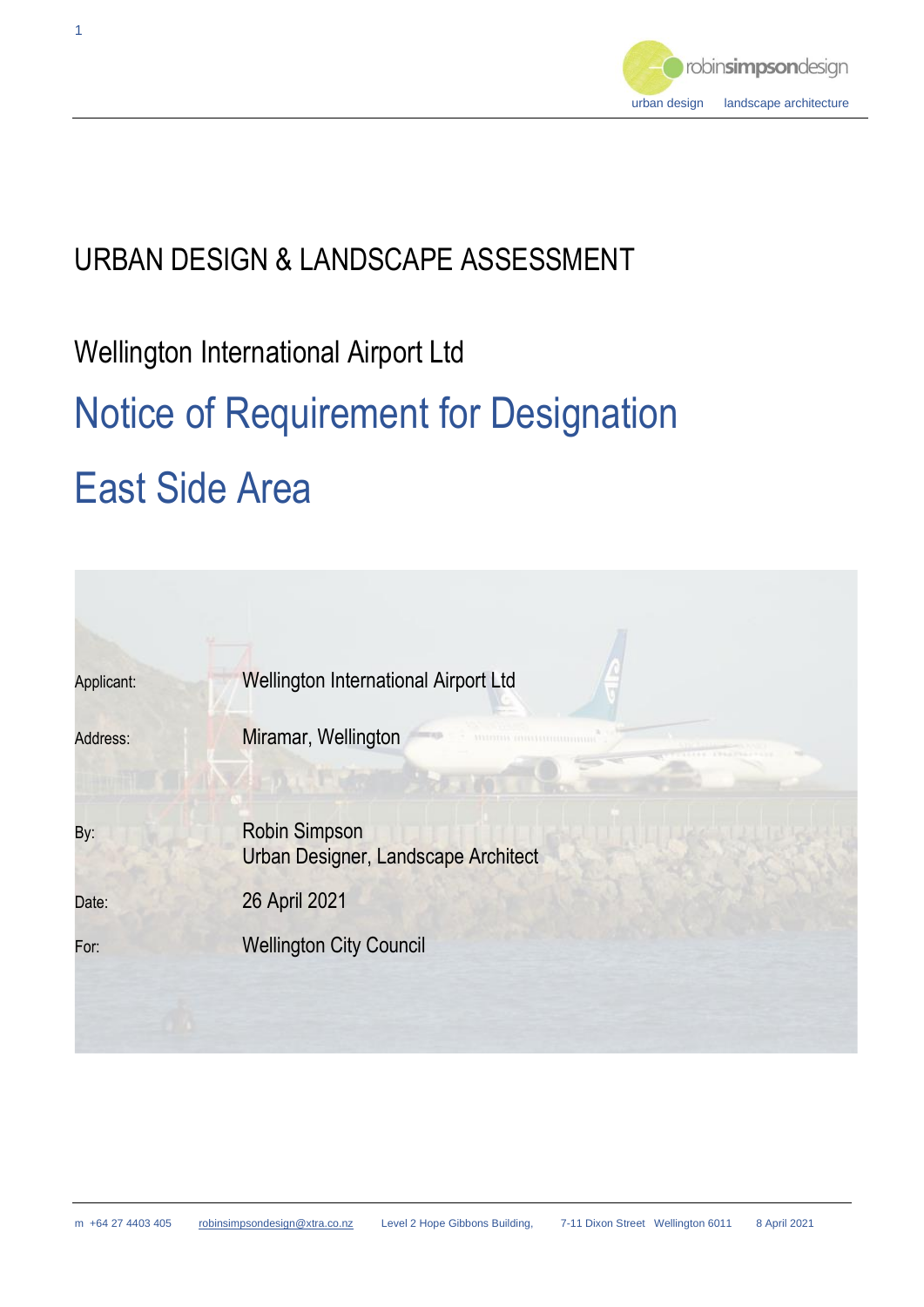

# URBAN DESIGN & LANDSCAPE ASSESSMENT

1

# Wellington International Airport Ltd Notice of Requirement for Designation East Side Area

| Applicant: | <b>Wellington International Airport Ltd</b>                 |
|------------|-------------------------------------------------------------|
| Address:   | Miramar, Wellington                                         |
| By:        | <b>Robin Simpson</b><br>Urban Designer, Landscape Architect |
| Date:      | 26 April 2021                                               |
| For:       | <b>Wellington City Council</b>                              |
|            |                                                             |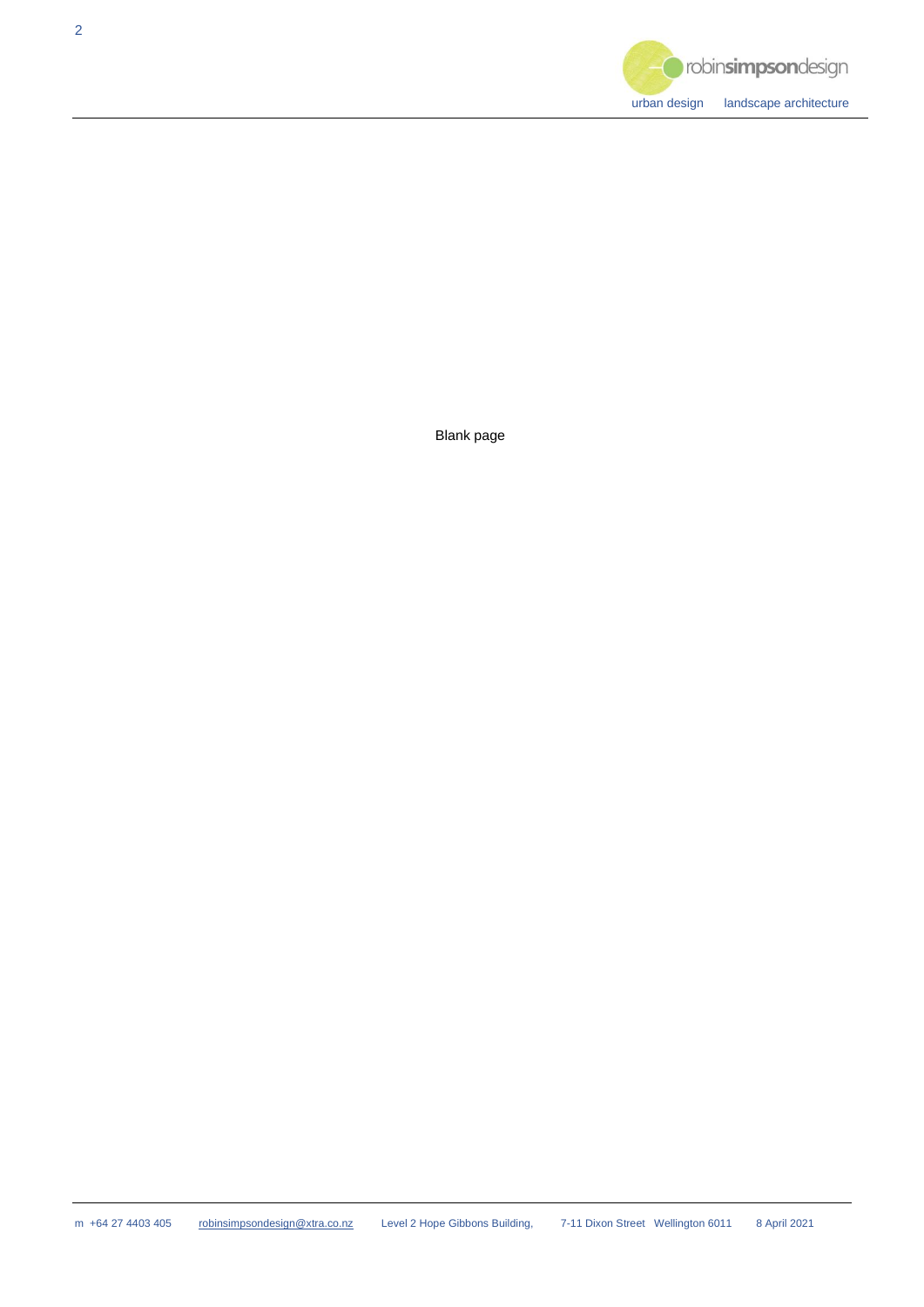

Blank page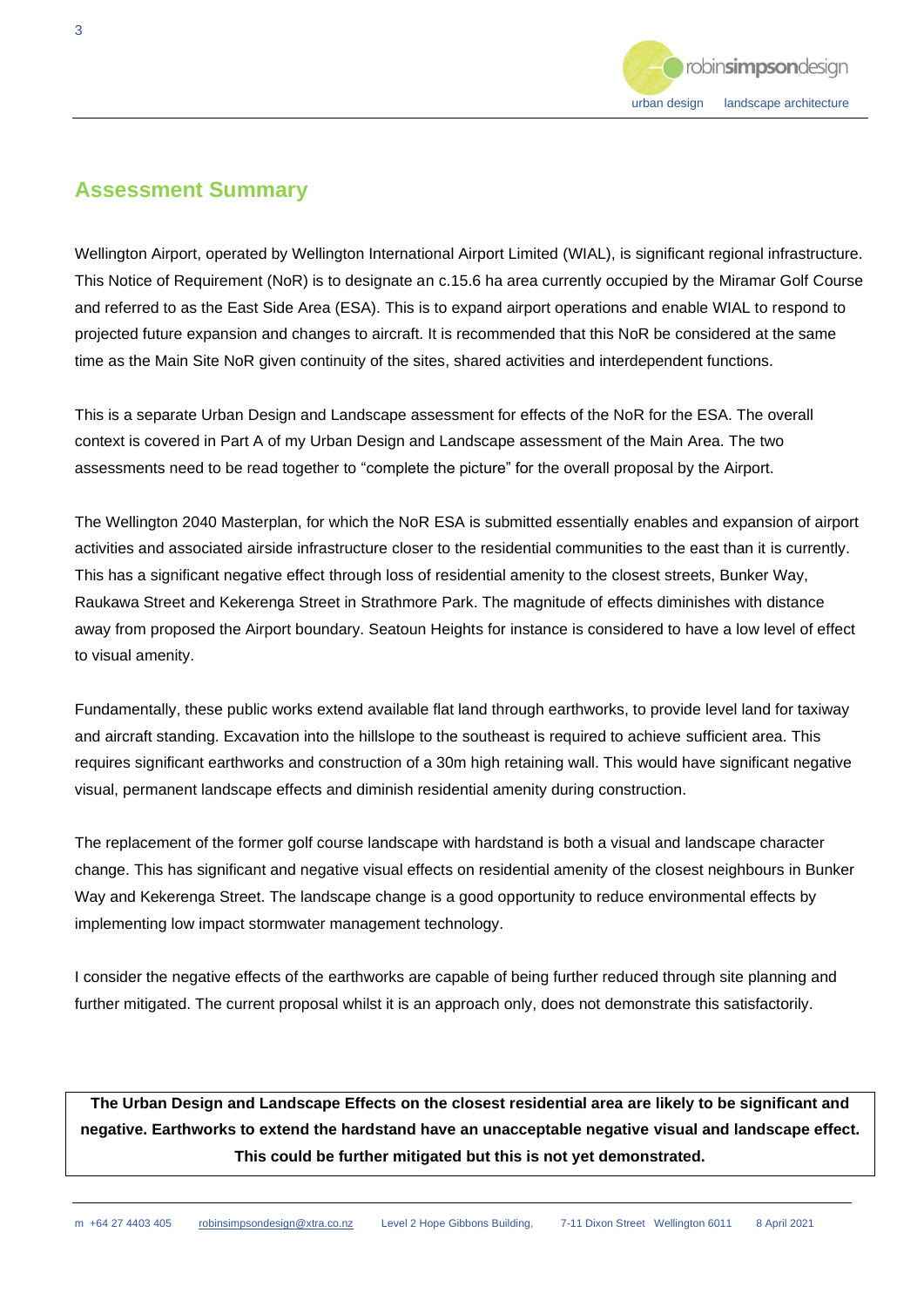

# **Assessment Summary**

Wellington Airport, operated by Wellington International Airport Limited (WIAL), is significant regional infrastructure. This Notice of Requirement (NoR) is to designate an c.15.6 ha area currently occupied by the Miramar Golf Course and referred to as the East Side Area (ESA). This is to expand airport operations and enable WIAL to respond to projected future expansion and changes to aircraft. It is recommended that this NoR be considered at the same time as the Main Site NoR given continuity of the sites, shared activities and interdependent functions.

This is a separate Urban Design and Landscape assessment for effects of the NoR for the ESA. The overall context is covered in Part A of my Urban Design and Landscape assessment of the Main Area. The two assessments need to be read together to "complete the picture" for the overall proposal by the Airport.

The Wellington 2040 Masterplan, for which the NoR ESA is submitted essentially enables and expansion of airport activities and associated airside infrastructure closer to the residential communities to the east than it is currently. This has a significant negative effect through loss of residential amenity to the closest streets, Bunker Way, Raukawa Street and Kekerenga Street in Strathmore Park. The magnitude of effects diminishes with distance away from proposed the Airport boundary. Seatoun Heights for instance is considered to have a low level of effect to visual amenity.

Fundamentally, these public works extend available flat land through earthworks, to provide level land for taxiway and aircraft standing. Excavation into the hillslope to the southeast is required to achieve sufficient area. This requires significant earthworks and construction of a 30m high retaining wall. This would have significant negative visual, permanent landscape effects and diminish residential amenity during construction.

The replacement of the former golf course landscape with hardstand is both a visual and landscape character change. This has significant and negative visual effects on residential amenity of the closest neighbours in Bunker Way and Kekerenga Street. The landscape change is a good opportunity to reduce environmental effects by implementing low impact stormwater management technology.

I consider the negative effects of the earthworks are capable of being further reduced through site planning and further mitigated. The current proposal whilst it is an approach only, does not demonstrate this satisfactorily.

**The Urban Design and Landscape Effects on the closest residential area are likely to be significant and negative. Earthworks to extend the hardstand have an unacceptable negative visual and landscape effect. This could be further mitigated but this is not yet demonstrated.**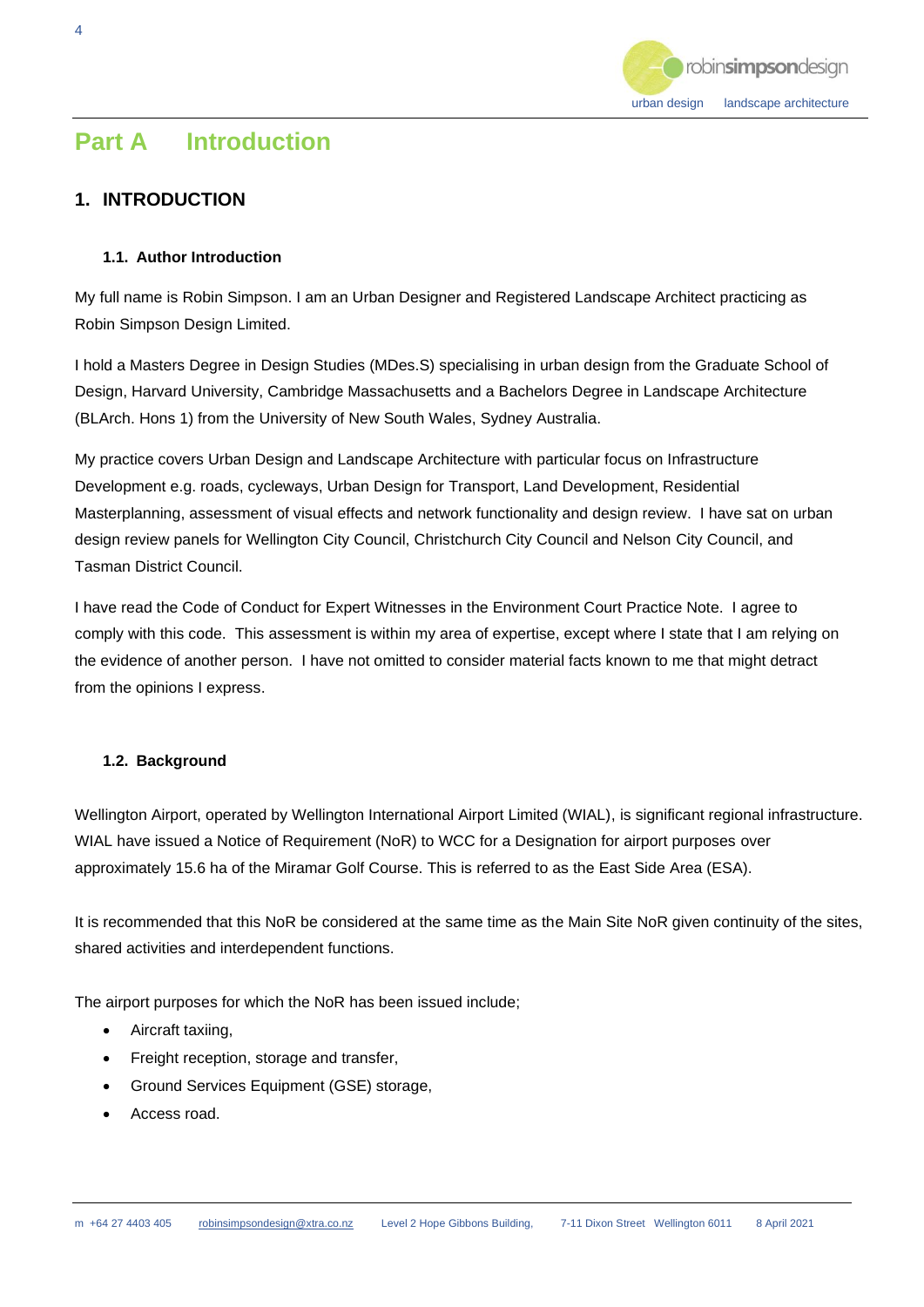

# **Part A Introduction**

# **1. INTRODUCTION**

#### **1.1. Author Introduction**

My full name is Robin Simpson. I am an Urban Designer and Registered Landscape Architect practicing as Robin Simpson Design Limited.

I hold a Masters Degree in Design Studies (MDes.S) specialising in urban design from the Graduate School of Design, Harvard University, Cambridge Massachusetts and a Bachelors Degree in Landscape Architecture (BLArch. Hons 1) from the University of New South Wales, Sydney Australia.

My practice covers Urban Design and Landscape Architecture with particular focus on Infrastructure Development e.g. roads, cycleways, Urban Design for Transport, Land Development, Residential Masterplanning, assessment of visual effects and network functionality and design review. I have sat on urban design review panels for Wellington City Council, Christchurch City Council and Nelson City Council, and Tasman District Council.

I have read the Code of Conduct for Expert Witnesses in the Environment Court Practice Note. I agree to comply with this code. This assessment is within my area of expertise, except where I state that I am relying on the evidence of another person. I have not omitted to consider material facts known to me that might detract from the opinions I express.

#### **1.2. Background**

Wellington Airport, operated by Wellington International Airport Limited (WIAL), is significant regional infrastructure. WIAL have issued a Notice of Requirement (NoR) to WCC for a Designation for airport purposes over approximately 15.6 ha of the Miramar Golf Course. This is referred to as the East Side Area (ESA).

It is recommended that this NoR be considered at the same time as the Main Site NoR given continuity of the sites, shared activities and interdependent functions.

The airport purposes for which the NoR has been issued include;

- Aircraft taxiing,
- Freight reception, storage and transfer,
- Ground Services Equipment (GSE) storage,
- Access road.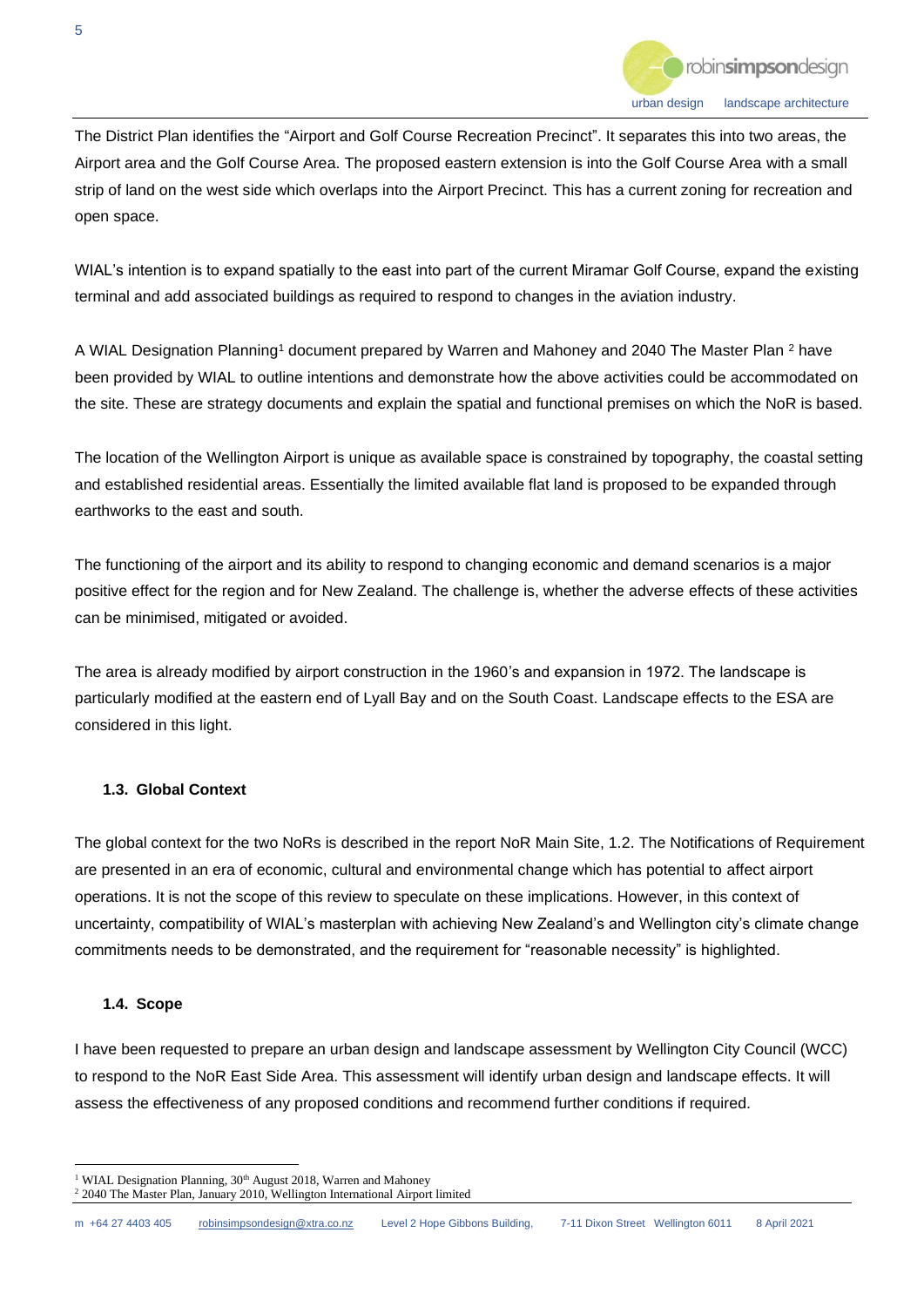The District Plan identifies the "Airport and Golf Course Recreation Precinct". It separates this into two areas, the Airport area and the Golf Course Area. The proposed eastern extension is into the Golf Course Area with a small strip of land on the west side which overlaps into the Airport Precinct. This has a current zoning for recreation and open space.

WIAL's intention is to expand spatially to the east into part of the current Miramar Golf Course, expand the existing terminal and add associated buildings as required to respond to changes in the aviation industry.

A WIAL Designation Planning<sup>1</sup> document prepared by Warren and Mahoney and 2040 The Master Plan <sup>2</sup> have been provided by WIAL to outline intentions and demonstrate how the above activities could be accommodated on the site. These are strategy documents and explain the spatial and functional premises on which the NoR is based.

The location of the Wellington Airport is unique as available space is constrained by topography, the coastal setting and established residential areas. Essentially the limited available flat land is proposed to be expanded through earthworks to the east and south.

The functioning of the airport and its ability to respond to changing economic and demand scenarios is a major positive effect for the region and for New Zealand. The challenge is, whether the adverse effects of these activities can be minimised, mitigated or avoided.

The area is already modified by airport construction in the 1960's and expansion in 1972. The landscape is particularly modified at the eastern end of Lyall Bay and on the South Coast. Landscape effects to the ESA are considered in this light.

#### **1.3. Global Context**

The global context for the two NoRs is described in the report NoR Main Site, 1.2. The Notifications of Requirement are presented in an era of economic, cultural and environmental change which has potential to affect airport operations. It is not the scope of this review to speculate on these implications. However, in this context of uncertainty, compatibility of WIAL's masterplan with achieving New Zealand's and Wellington city's climate change commitments needs to be demonstrated, and the requirement for "reasonable necessity" is highlighted.

#### **1.4. Scope**

I have been requested to prepare an urban design and landscape assessment by Wellington City Council (WCC) to respond to the NoR East Side Area. This assessment will identify urban design and landscape effects. It will assess the effectiveness of any proposed conditions and recommend further conditions if required.

<sup>&</sup>lt;sup>1</sup> WIAL Designation Planning, 30<sup>th</sup> August 2018, Warren and Mahoney

<sup>&</sup>lt;sup>2</sup> 2040 The Master Plan, January 2010, Wellington International Airport limited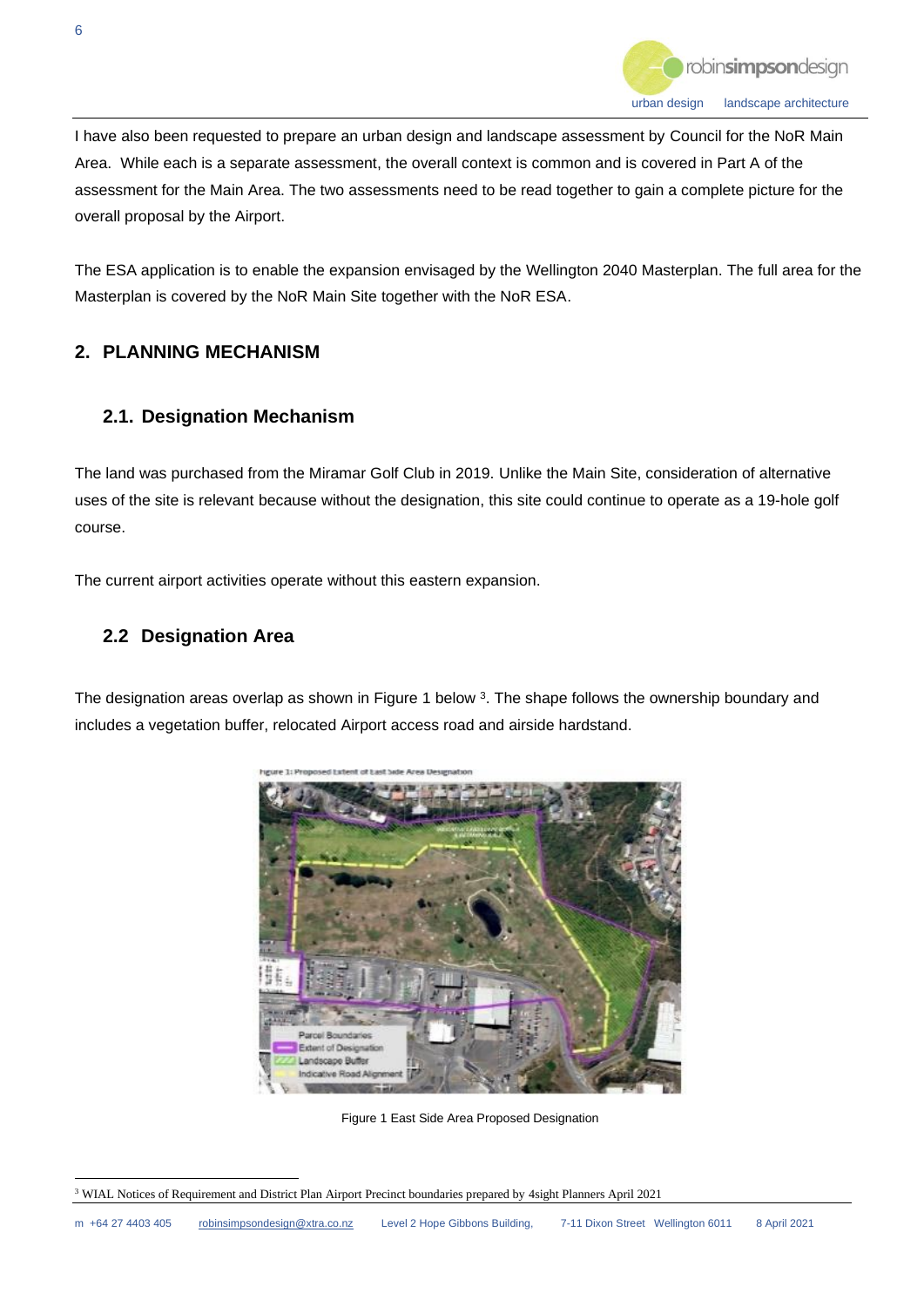

I have also been requested to prepare an urban design and landscape assessment by Council for the NoR Main Area. While each is a separate assessment, the overall context is common and is covered in Part A of the assessment for the Main Area. The two assessments need to be read together to gain a complete picture for the overall proposal by the Airport.

The ESA application is to enable the expansion envisaged by the Wellington 2040 Masterplan. The full area for the Masterplan is covered by the NoR Main Site together with the NoR ESA.

# **2. PLANNING MECHANISM**

## **2.1. Designation Mechanism**

The land was purchased from the Miramar Golf Club in 2019. Unlike the Main Site, consideration of alternative uses of the site is relevant because without the designation, this site could continue to operate as a 19-hole golf course.

The current airport activities operate without this eastern expansion.

## **2.2 Designation Area**

The designation areas overlap as shown in Figure 1 below <sup>3</sup>. The shape follows the ownership boundary and includes a vegetation buffer, relocated Airport access road and airside hardstand.



Figure 1 East Side Area Proposed Designation

<sup>3</sup> WIAL Notices of Requirement and District Plan Airport Precinct boundaries prepared by 4sight Planners April 2021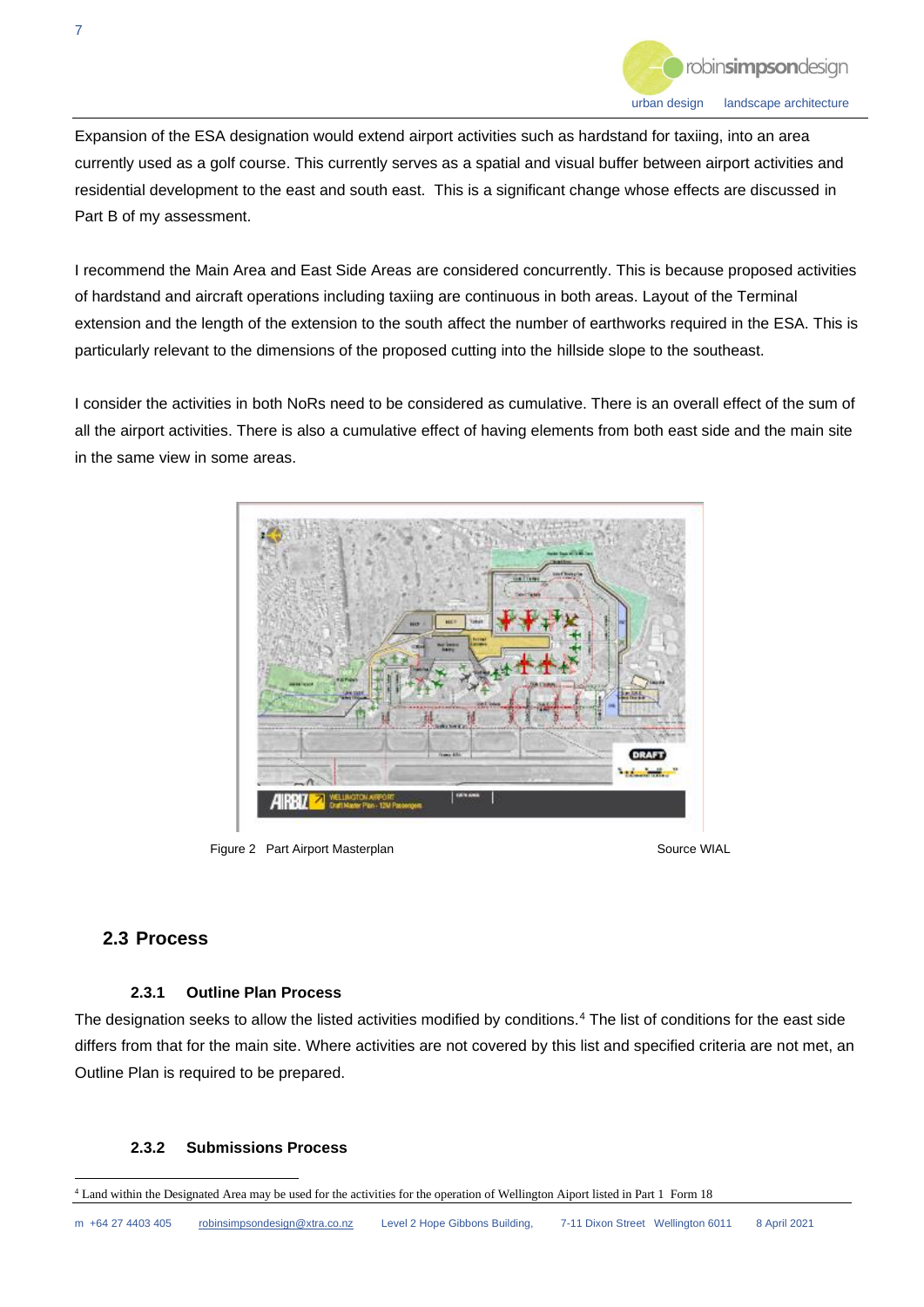Expansion of the ESA designation would extend airport activities such as hardstand for taxiing, into an area currently used as a golf course. This currently serves as a spatial and visual buffer between airport activities and residential development to the east and south east. This is a significant change whose effects are discussed in Part B of my assessment.

I recommend the Main Area and East Side Areas are considered concurrently. This is because proposed activities of hardstand and aircraft operations including taxiing are continuous in both areas. Layout of the Terminal extension and the length of the extension to the south affect the number of earthworks required in the ESA. This is particularly relevant to the dimensions of the proposed cutting into the hillside slope to the southeast.

I consider the activities in both NoRs need to be considered as cumulative. There is an overall effect of the sum of all the airport activities. There is also a cumulative effect of having elements from both east side and the main site in the same view in some areas.



Figure 2 Part Airport Masterplan Source WIAL

# **2.3 Process**

#### **2.3.1 Outline Plan Process**

The designation seeks to allow the listed activities modified by conditions.<sup>4</sup> The list of conditions for the east side differs from that for the main site. Where activities are not covered by this list and specified criteria are not met, an Outline Plan is required to be prepared.

#### **2.3.2 Submissions Process**

<sup>4</sup> Land within the Designated Area may be used for the activities for the operation of Wellington Aiport listed in Part 1 Form 18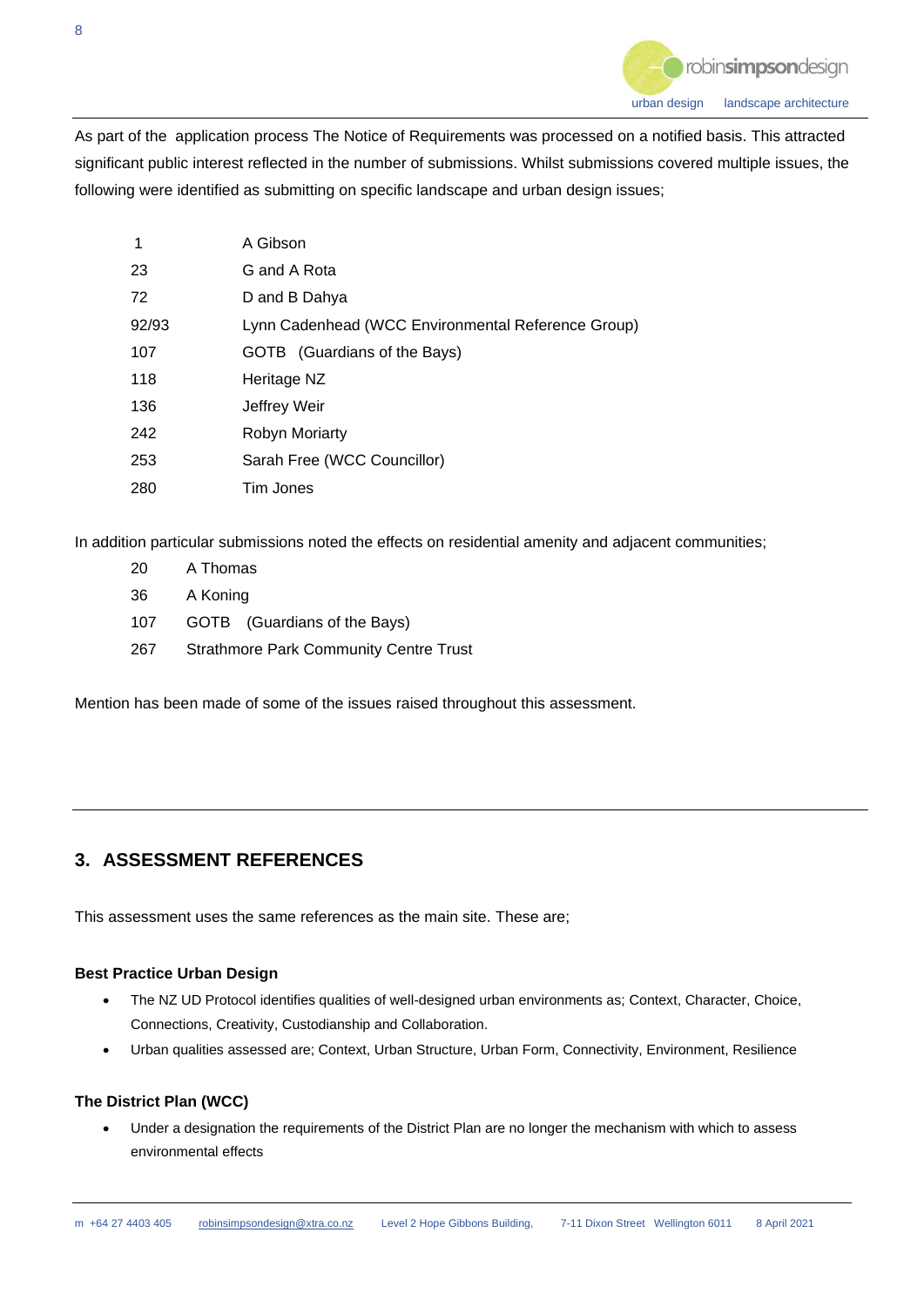

As part of the application process The Notice of Requirements was processed on a notified basis. This attracted significant public interest reflected in the number of submissions. Whilst submissions covered multiple issues, the following were identified as submitting on specific landscape and urban design issues;

| $\overline{1}$ | A Gibson                                           |
|----------------|----------------------------------------------------|
| 23             | G and A Rota                                       |
| 72             | D and B Dahya                                      |
| 92/93          | Lynn Cadenhead (WCC Environmental Reference Group) |
| 107            | GOTB (Guardians of the Bays)                       |
| 118            | Heritage NZ                                        |
| 136            | Jeffrey Weir                                       |
| 242            | Robyn Moriarty                                     |
| 253            | Sarah Free (WCC Councillor)                        |
| 280            | Tim Jones                                          |

In addition particular submissions noted the effects on residential amenity and adjacent communities;

- 20 A Thomas 36 A Koning
- 
- 107 GOTB (Guardians of the Bays)
- 267 Strathmore Park Community Centre Trust

Mention has been made of some of the issues raised throughout this assessment.

# **3. ASSESSMENT REFERENCES**

This assessment uses the same references as the main site. These are;

#### **Best Practice Urban Design**

- The NZ UD Protocol identifies qualities of well-designed urban environments as; Context, Character, Choice, Connections, Creativity, Custodianship and Collaboration.
- Urban qualities assessed are; Context, Urban Structure, Urban Form, Connectivity, Environment, Resilience

#### **The District Plan (WCC)**

• Under a designation the requirements of the District Plan are no longer the mechanism with which to assess environmental effects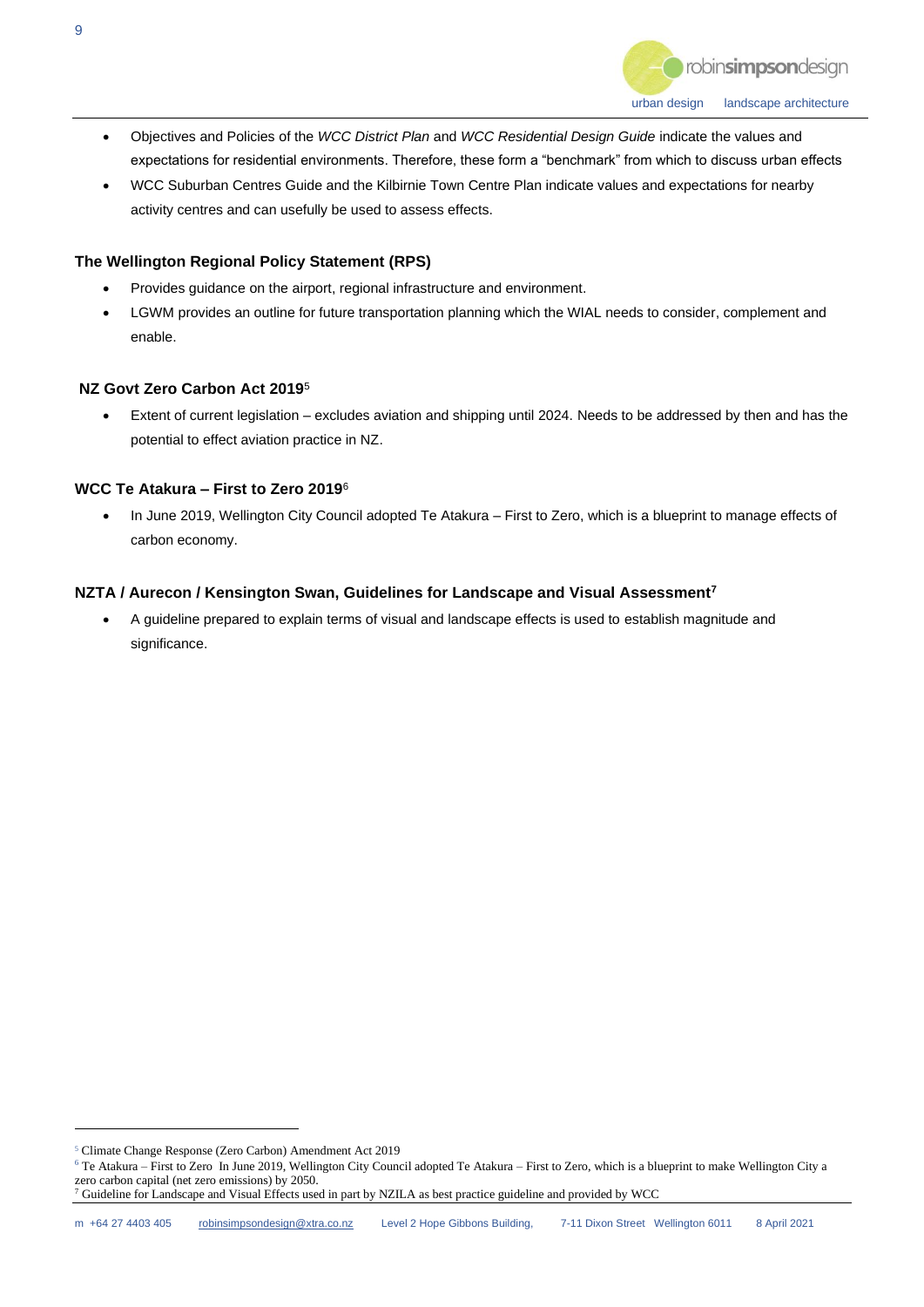- Objectives and Policies of the *WCC District Plan* and *WCC Residential Design Guide* indicate the values and expectations for residential environments. Therefore, these form a "benchmark" from which to discuss urban effects
- WCC Suburban Centres Guide and the Kilbirnie Town Centre Plan indicate values and expectations for nearby activity centres and can usefully be used to assess effects.

#### **The Wellington Regional Policy Statement (RPS)**

- Provides guidance on the airport, regional infrastructure and environment.
- LGWM provides an outline for future transportation planning which the WIAL needs to consider, complement and enable.

#### **NZ Govt Zero Carbon Act 2019**<sup>5</sup>

• Extent of current legislation – excludes aviation and shipping until 2024. Needs to be addressed by then and has the potential to effect aviation practice in NZ.

#### **WCC Te Atakura – First to Zero 2019**<sup>6</sup>

• In June 2019, Wellington City Council adopted Te Atakura – First to Zero, which is a blueprint to manage effects of carbon economy.

#### **NZTA / Aurecon / Kensington Swan, Guidelines for Landscape and Visual Assessment<sup>7</sup>**

• A guideline prepared to explain terms of visual and landscape effects is used to establish magnitude and significance.

<sup>5</sup> Climate Change Response (Zero Carbon) Amendment Act 2019

<sup>6</sup> Te Atakura – First to Zero In June 2019, Wellington City Council adopted Te Atakura – First to Zero, which is a blueprint to make Wellington City a zero carbon capital (net zero emissions) by 2050.

<sup>7</sup> Guideline for Landscape and Visual Effects used in part by NZILA as best practice guideline and provided by WCC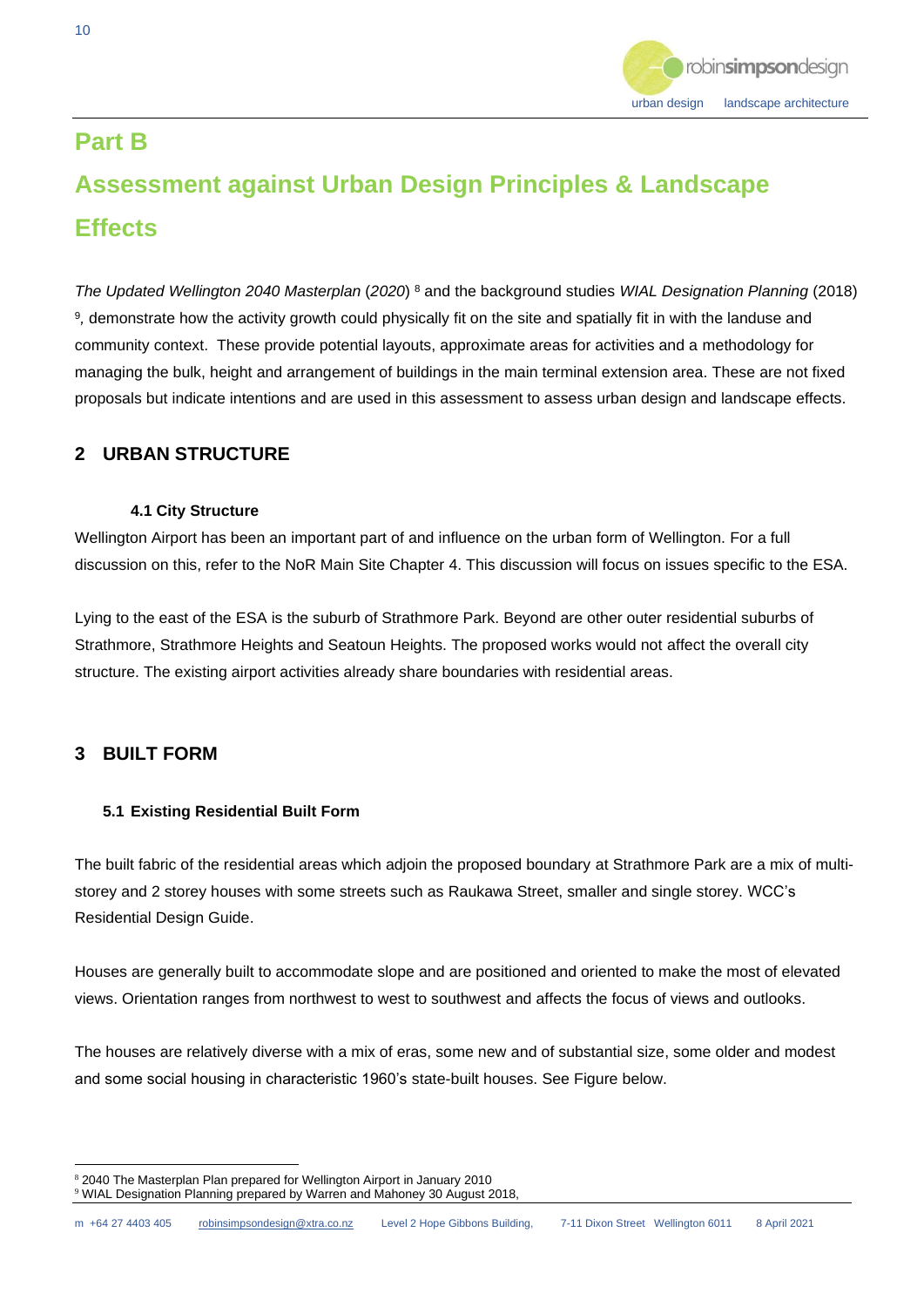



# **Part B**

# **Assessment against Urban Design Principles & Landscape Effects**

*The Updated Wellington 2040 Masterplan* (*2020*) <sup>8</sup> and the background studies *WIAL Designation Planning* (2018) <sup>9</sup>, demonstrate how the activity growth could physically fit on the site and spatially fit in with the landuse and community context. These provide potential layouts, approximate areas for activities and a methodology for managing the bulk, height and arrangement of buildings in the main terminal extension area. These are not fixed proposals but indicate intentions and are used in this assessment to assess urban design and landscape effects.

# **2 URBAN STRUCTURE**

## **4.1 City Structure**

Wellington Airport has been an important part of and influence on the urban form of Wellington. For a full discussion on this, refer to the NoR Main Site Chapter 4. This discussion will focus on issues specific to the ESA.

Lying to the east of the ESA is the suburb of Strathmore Park. Beyond are other outer residential suburbs of Strathmore, Strathmore Heights and Seatoun Heights. The proposed works would not affect the overall city structure. The existing airport activities already share boundaries with residential areas.

# **3 BUILT FORM**

# **5.1 Existing Residential Built Form**

The built fabric of the residential areas which adjoin the proposed boundary at Strathmore Park are a mix of multistorey and 2 storey houses with some streets such as Raukawa Street, smaller and single storey. WCC's Residential Design Guide.

Houses are generally built to accommodate slope and are positioned and oriented to make the most of elevated views. Orientation ranges from northwest to west to southwest and affects the focus of views and outlooks.

The houses are relatively diverse with a mix of eras, some new and of substantial size, some older and modest and some social housing in characteristic 1960's state-built houses. See Figure below.

<sup>9</sup> WIAL Designation Planning prepared by Warren and Mahoney 30 August 2018,

<sup>8</sup> 2040 The Masterplan Plan prepared for Wellington Airport in January 2010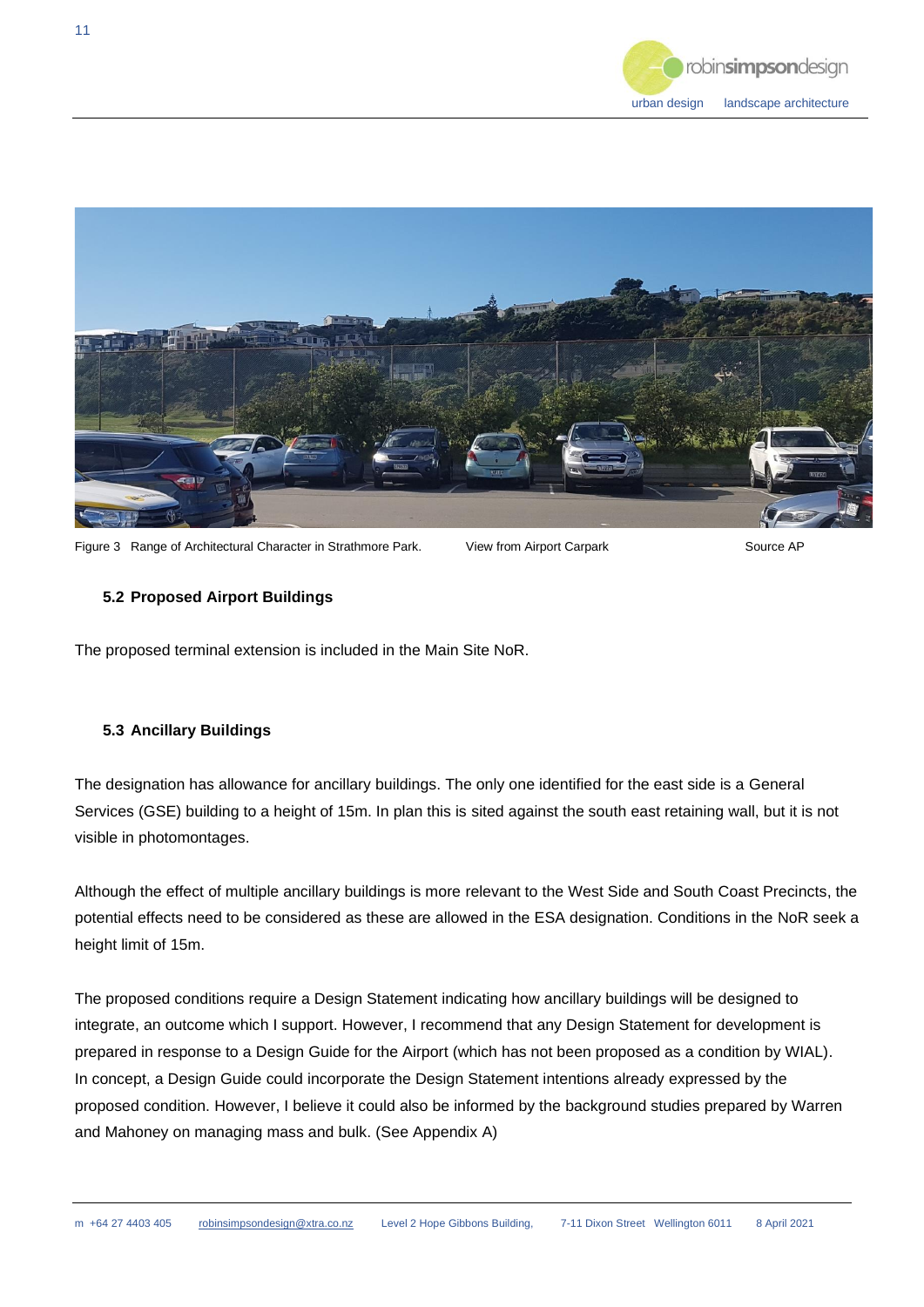



Figure 3 Range of Architectural Character in Strathmore Park. View from Airport Carpark Source AP

#### **5.2 Proposed Airport Buildings**

The proposed terminal extension is included in the Main Site NoR.

#### **5.3 Ancillary Buildings**

The designation has allowance for ancillary buildings. The only one identified for the east side is a General Services (GSE) building to a height of 15m. In plan this is sited against the south east retaining wall, but it is not visible in photomontages.

Although the effect of multiple ancillary buildings is more relevant to the West Side and South Coast Precincts, the potential effects need to be considered as these are allowed in the ESA designation. Conditions in the NoR seek a height limit of 15m.

The proposed conditions require a Design Statement indicating how ancillary buildings will be designed to integrate, an outcome which I support. However, I recommend that any Design Statement for development is prepared in response to a Design Guide for the Airport (which has not been proposed as a condition by WIAL). In concept, a Design Guide could incorporate the Design Statement intentions already expressed by the proposed condition. However, I believe it could also be informed by the background studies prepared by Warren and Mahoney on managing mass and bulk. (See Appendix A)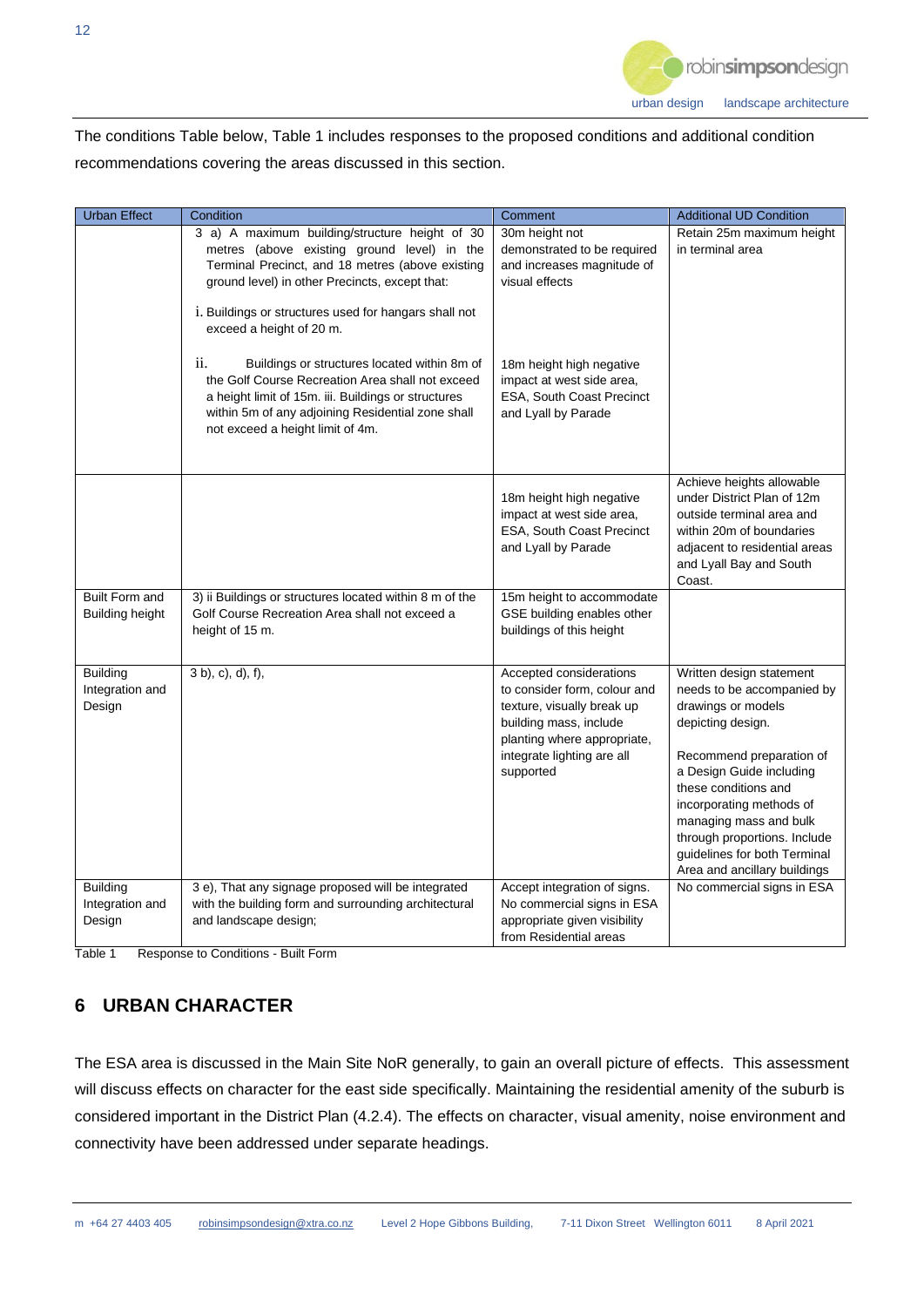

The conditions Table below, Table 1 includes responses to the proposed conditions and additional condition recommendations covering the areas discussed in this section.

| <b>Urban Effect</b>                          | Condition                                                                                                                                                                                                                                                                                                                                                                                                                                                                                                                                           | Comment                                                                                                                                                                                                           | <b>Additional UD Condition</b>                                                                                                                                                                                                                                                                                                          |
|----------------------------------------------|-----------------------------------------------------------------------------------------------------------------------------------------------------------------------------------------------------------------------------------------------------------------------------------------------------------------------------------------------------------------------------------------------------------------------------------------------------------------------------------------------------------------------------------------------------|-------------------------------------------------------------------------------------------------------------------------------------------------------------------------------------------------------------------|-----------------------------------------------------------------------------------------------------------------------------------------------------------------------------------------------------------------------------------------------------------------------------------------------------------------------------------------|
|                                              | 3 a) A maximum building/structure height of 30<br>metres (above existing ground level) in the<br>Terminal Precinct, and 18 metres (above existing<br>ground level) in other Precincts, except that:<br>i. Buildings or structures used for hangars shall not<br>exceed a height of 20 m.<br>ii.<br>Buildings or structures located within 8m of<br>the Golf Course Recreation Area shall not exceed<br>a height limit of 15m. iii. Buildings or structures<br>within 5m of any adjoining Residential zone shall<br>not exceed a height limit of 4m. | 30m height not<br>demonstrated to be required<br>and increases magnitude of<br>visual effects<br>18m height high negative<br>impact at west side area,<br><b>ESA, South Coast Precinct</b><br>and Lyall by Parade | Retain 25m maximum height<br>in terminal area                                                                                                                                                                                                                                                                                           |
|                                              |                                                                                                                                                                                                                                                                                                                                                                                                                                                                                                                                                     | 18m height high negative<br>impact at west side area,<br><b>ESA, South Coast Precinct</b><br>and Lyall by Parade                                                                                                  | Achieve heights allowable<br>under District Plan of 12m<br>outside terminal area and<br>within 20m of boundaries<br>adjacent to residential areas<br>and Lyall Bay and South<br>Coast.                                                                                                                                                  |
| Built Form and<br>Building height            | 3) ii Buildings or structures located within 8 m of the<br>Golf Course Recreation Area shall not exceed a<br>height of 15 m.                                                                                                                                                                                                                                                                                                                                                                                                                        | 15m height to accommodate<br>GSE building enables other<br>buildings of this height                                                                                                                               |                                                                                                                                                                                                                                                                                                                                         |
| <b>Building</b><br>Integration and<br>Design | $3 b$ , c), d), f),                                                                                                                                                                                                                                                                                                                                                                                                                                                                                                                                 | Accepted considerations<br>to consider form, colour and<br>texture, visually break up<br>building mass, include<br>planting where appropriate,<br>integrate lighting are all<br>supported                         | Written design statement<br>needs to be accompanied by<br>drawings or models<br>depicting design.<br>Recommend preparation of<br>a Design Guide including<br>these conditions and<br>incorporating methods of<br>managing mass and bulk<br>through proportions. Include<br>guidelines for both Terminal<br>Area and ancillary buildings |
| <b>Building</b><br>Integration and<br>Design | 3 e), That any signage proposed will be integrated<br>with the building form and surrounding architectural<br>and landscape design;                                                                                                                                                                                                                                                                                                                                                                                                                 | Accept integration of signs.<br>No commercial signs in ESA<br>appropriate given visibility<br>from Residential areas                                                                                              | No commercial signs in ESA                                                                                                                                                                                                                                                                                                              |

Table 1 Response to Conditions - Built Form

# **6 URBAN CHARACTER**

The ESA area is discussed in the Main Site NoR generally, to gain an overall picture of effects. This assessment will discuss effects on character for the east side specifically. Maintaining the residential amenity of the suburb is considered important in the District Plan (4.2.4). The effects on character, visual amenity, noise environment and connectivity have been addressed under separate headings.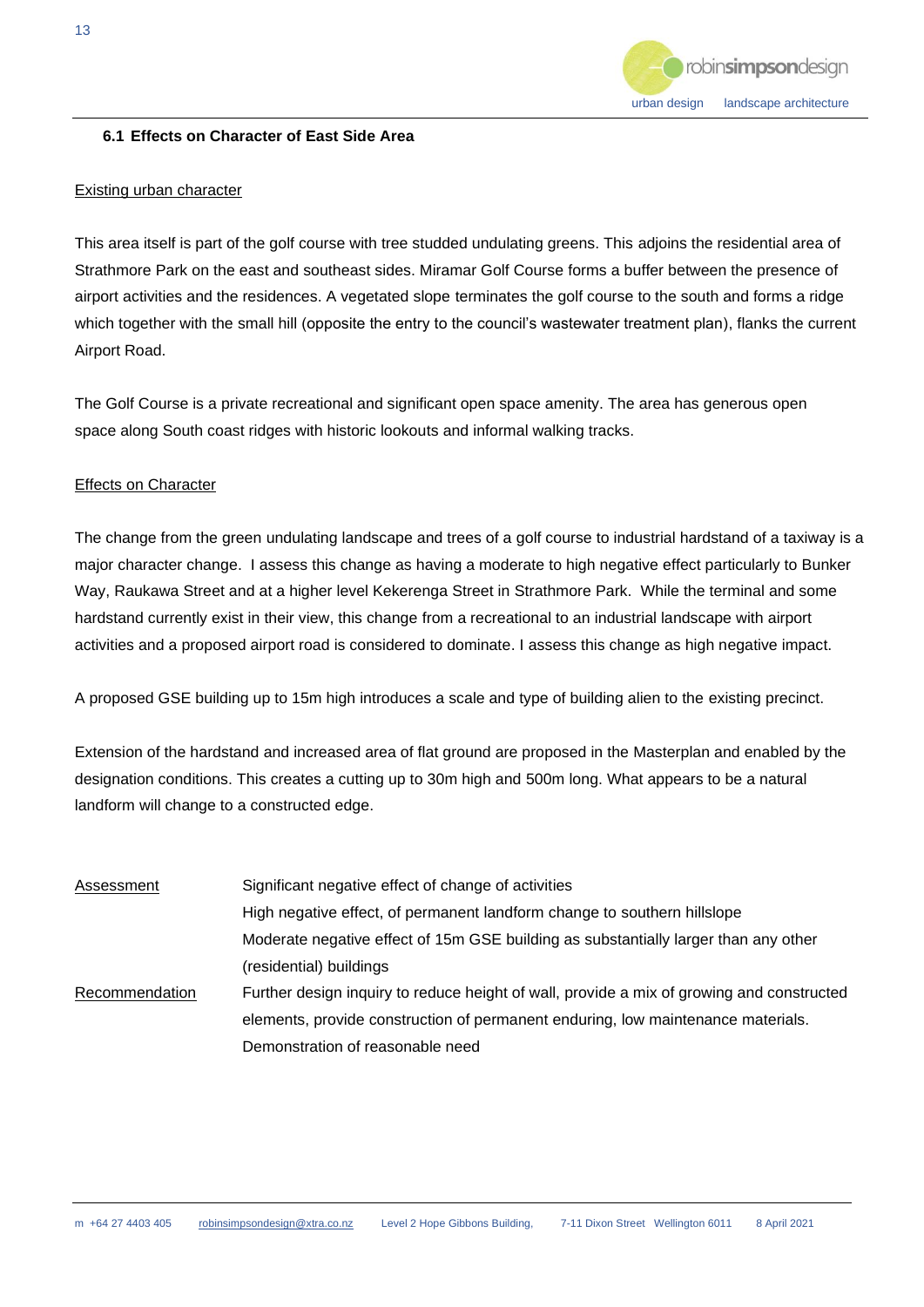#### **6.1 Effects on Character of East Side Area**

#### Existing urban character

This area itself is part of the golf course with tree studded undulating greens. This adjoins the residential area of Strathmore Park on the east and southeast sides. Miramar Golf Course forms a buffer between the presence of airport activities and the residences. A vegetated slope terminates the golf course to the south and forms a ridge which together with the small hill (opposite the entry to the council's wastewater treatment plan), flanks the current Airport Road.

urban design landscape architecture

robinsimpsondesign

The Golf Course is a private recreational and significant open space amenity. The area has generous open space along South coast ridges with historic lookouts and informal walking tracks.

#### Effects on Character

The change from the green undulating landscape and trees of a golf course to industrial hardstand of a taxiway is a major character change. I assess this change as having a moderate to high negative effect particularly to Bunker Way, Raukawa Street and at a higher level Kekerenga Street in Strathmore Park. While the terminal and some hardstand currently exist in their view, this change from a recreational to an industrial landscape with airport activities and a proposed airport road is considered to dominate. I assess this change as high negative impact.

A proposed GSE building up to 15m high introduces a scale and type of building alien to the existing precinct.

Extension of the hardstand and increased area of flat ground are proposed in the Masterplan and enabled by the designation conditions. This creates a cutting up to 30m high and 500m long. What appears to be a natural landform will change to a constructed edge.

| Assessment     | Significant negative effect of change of activities                                       |
|----------------|-------------------------------------------------------------------------------------------|
|                | High negative effect, of permanent landform change to southern hillslope                  |
|                | Moderate negative effect of 15m GSE building as substantially larger than any other       |
|                | (residential) buildings                                                                   |
| Recommendation | Further design inquiry to reduce height of wall, provide a mix of growing and constructed |
|                | elements, provide construction of permanent enduring, low maintenance materials.          |
|                | Demonstration of reasonable need                                                          |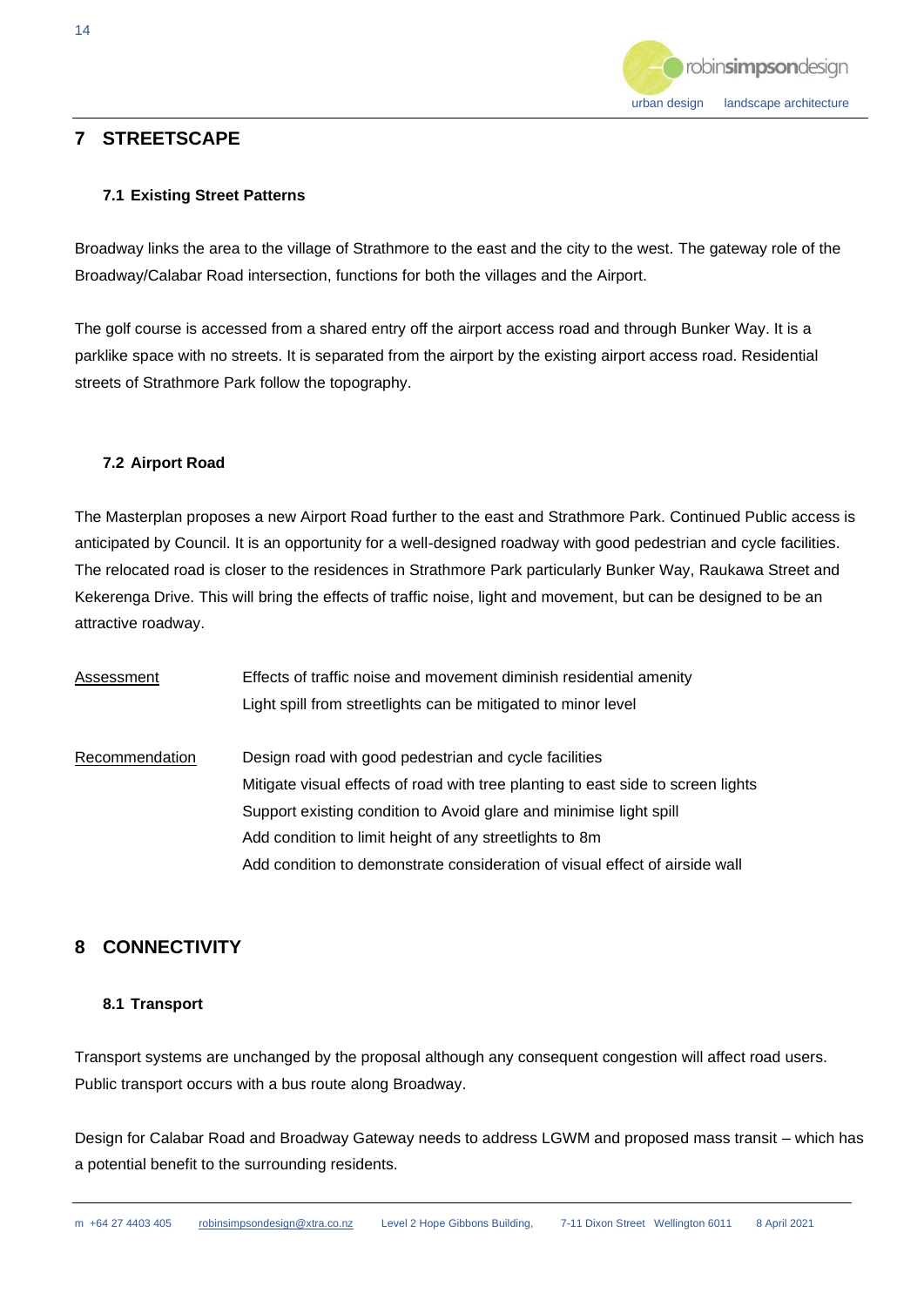# **7 STREETSCAPE**

#### **7.1 Existing Street Patterns**

Broadway links the area to the village of Strathmore to the east and the city to the west. The gateway role of the Broadway/Calabar Road intersection, functions for both the villages and the Airport.

The golf course is accessed from a shared entry off the airport access road and through Bunker Way. It is a parklike space with no streets. It is separated from the airport by the existing airport access road. Residential streets of Strathmore Park follow the topography.

#### **7.2 Airport Road**

The Masterplan proposes a new Airport Road further to the east and Strathmore Park. Continued Public access is anticipated by Council. It is an opportunity for a well-designed roadway with good pedestrian and cycle facilities. The relocated road is closer to the residences in Strathmore Park particularly Bunker Way, Raukawa Street and Kekerenga Drive. This will bring the effects of traffic noise, light and movement, but can be designed to be an attractive roadway.

| Assessment     | Effects of traffic noise and movement diminish residential amenity               |  |  |
|----------------|----------------------------------------------------------------------------------|--|--|
|                | Light spill from streetlights can be mitigated to minor level                    |  |  |
| Recommendation | Design road with good pedestrian and cycle facilities                            |  |  |
|                | Mitigate visual effects of road with tree planting to east side to screen lights |  |  |
|                | Support existing condition to Avoid glare and minimise light spill               |  |  |
|                | Add condition to limit height of any streetlights to 8m                          |  |  |
|                | Add condition to demonstrate consideration of visual effect of airside wall      |  |  |

# **8 CONNECTIVITY**

#### **8.1 Transport**

Transport systems are unchanged by the proposal although any consequent congestion will affect road users. Public transport occurs with a bus route along Broadway.

Design for Calabar Road and Broadway Gateway needs to address LGWM and proposed mass transit – which has a potential benefit to the surrounding residents.

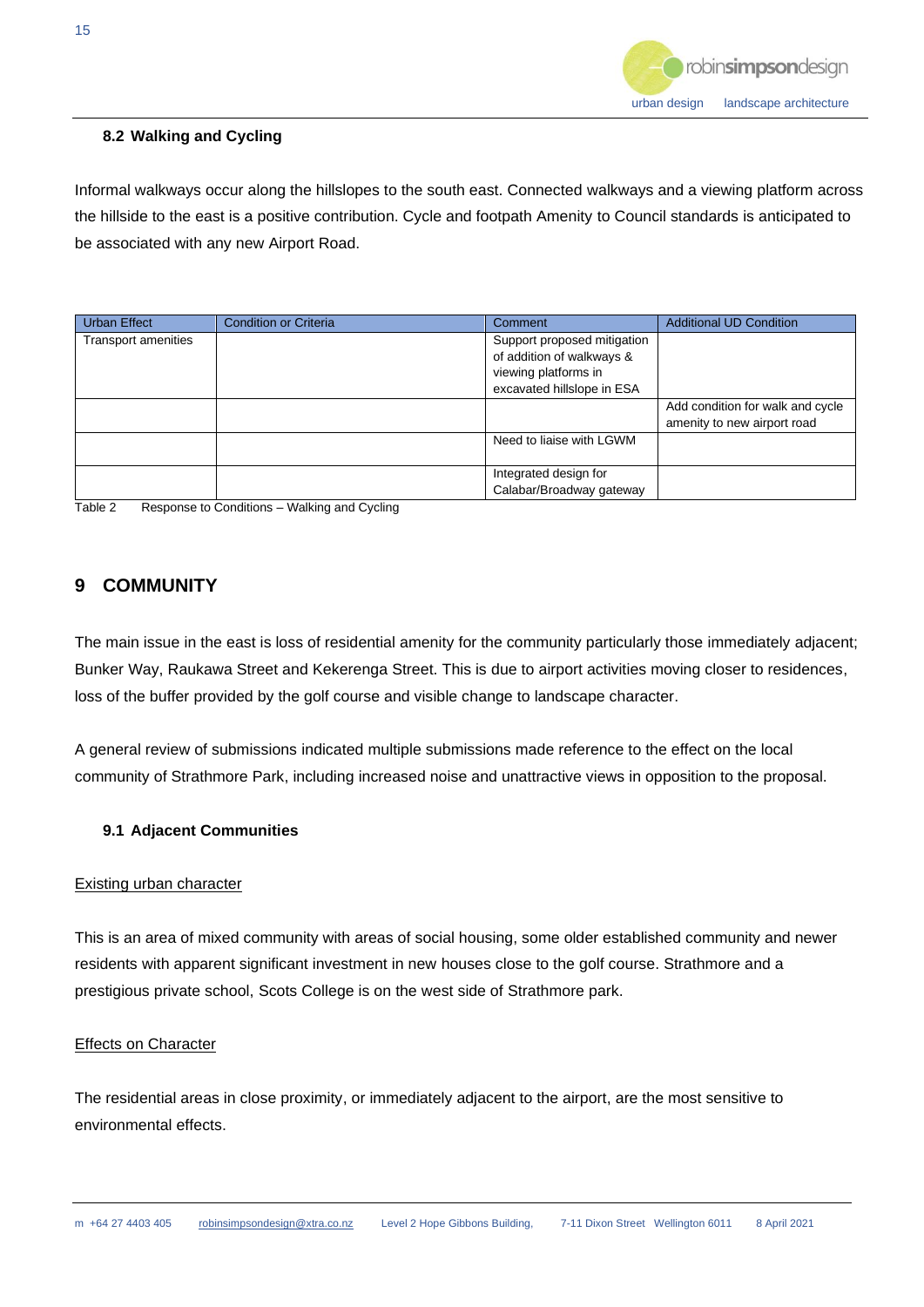#### **8.2 Walking and Cycling**

Informal walkways occur along the hillslopes to the south east. Connected walkways and a viewing platform across the hillside to the east is a positive contribution. Cycle and footpath Amenity to Council standards is anticipated to be associated with any new Airport Road.

| <b>Urban Effect</b>        | <b>Condition or Criteria</b> | Comment                     | <b>Additional UD Condition</b>   |
|----------------------------|------------------------------|-----------------------------|----------------------------------|
| <b>Transport amenities</b> |                              | Support proposed mitigation |                                  |
|                            |                              | of addition of walkways &   |                                  |
|                            |                              | viewing platforms in        |                                  |
|                            |                              | excavated hillslope in ESA  |                                  |
|                            |                              |                             | Add condition for walk and cycle |
|                            |                              |                             | amenity to new airport road      |
|                            |                              | Need to liaise with LGWM    |                                  |
|                            |                              |                             |                                  |
|                            |                              | Integrated design for       |                                  |
|                            |                              | Calabar/Broadway gateway    |                                  |

Table 2 Response to Conditions – Walking and Cycling

# **9 COMMUNITY**

The main issue in the east is loss of residential amenity for the community particularly those immediately adjacent; Bunker Way, Raukawa Street and Kekerenga Street. This is due to airport activities moving closer to residences, loss of the buffer provided by the golf course and visible change to landscape character.

A general review of submissions indicated multiple submissions made reference to the effect on the local community of Strathmore Park, including increased noise and unattractive views in opposition to the proposal.

#### **9.1 Adjacent Communities**

#### Existing urban character

This is an area of mixed community with areas of social housing, some older established community and newer residents with apparent significant investment in new houses close to the golf course. Strathmore and a prestigious private school, Scots College is on the west side of Strathmore park.

#### **Effects on Character**

The residential areas in close proximity, or immediately adjacent to the airport, are the most sensitive to environmental effects.

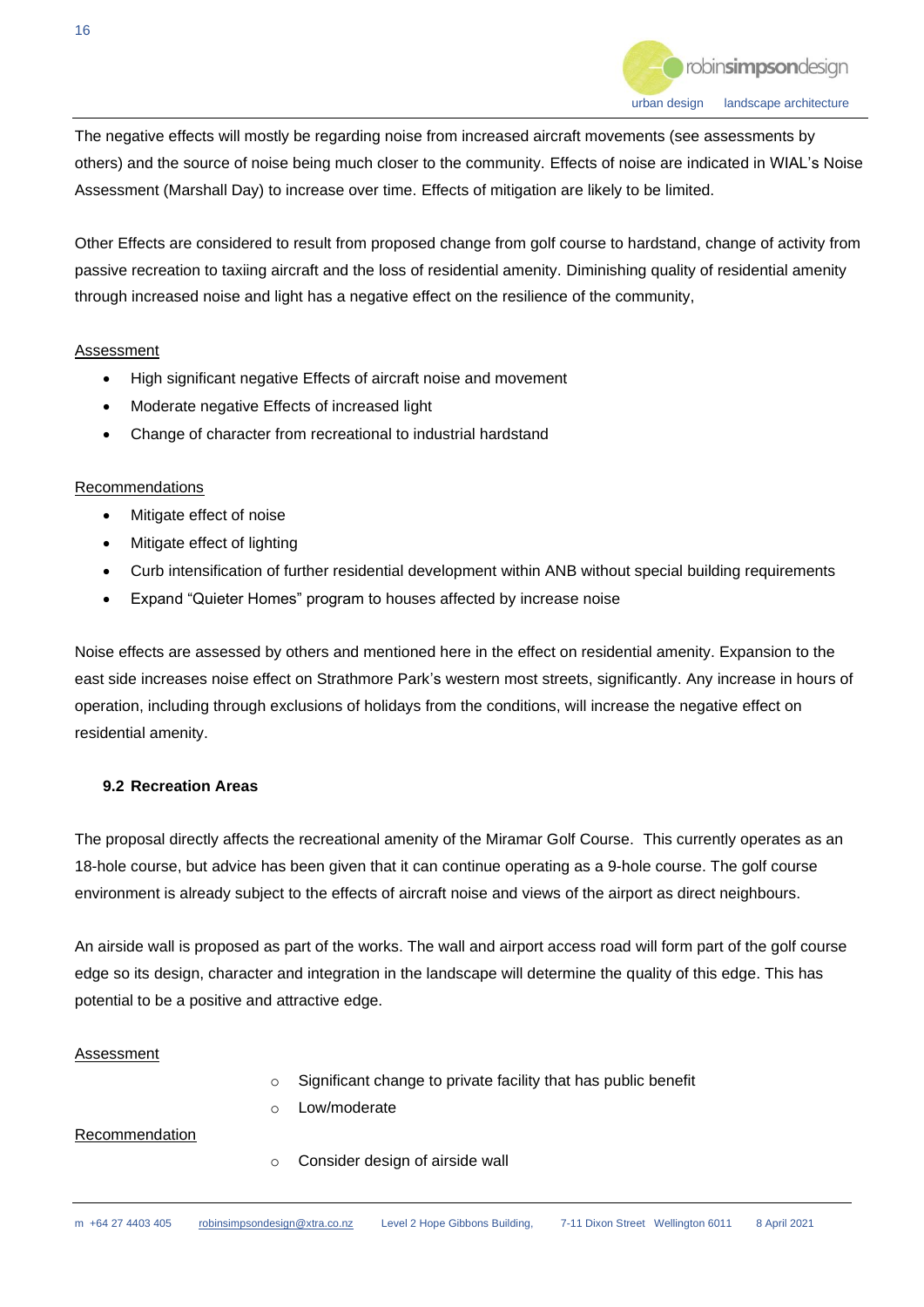The negative effects will mostly be regarding noise from increased aircraft movements (see assessments by others) and the source of noise being much closer to the community. Effects of noise are indicated in WIAL's Noise Assessment (Marshall Day) to increase over time. Effects of mitigation are likely to be limited.

Other Effects are considered to result from proposed change from golf course to hardstand, change of activity from passive recreation to taxiing aircraft and the loss of residential amenity. Diminishing quality of residential amenity through increased noise and light has a negative effect on the resilience of the community,

#### Assessment

- High significant negative Effects of aircraft noise and movement
- Moderate negative Effects of increased light
- Change of character from recreational to industrial hardstand

#### Recommendations

- Mitigate effect of noise
- Mitigate effect of lighting
- Curb intensification of further residential development within ANB without special building requirements
- Expand "Quieter Homes" program to houses affected by increase noise

Noise effects are assessed by others and mentioned here in the effect on residential amenity. Expansion to the east side increases noise effect on Strathmore Park's western most streets, significantly. Any increase in hours of operation, including through exclusions of holidays from the conditions, will increase the negative effect on residential amenity.

#### **9.2 Recreation Areas**

The proposal directly affects the recreational amenity of the Miramar Golf Course. This currently operates as an 18-hole course, but advice has been given that it can continue operating as a 9-hole course. The golf course environment is already subject to the effects of aircraft noise and views of the airport as direct neighbours.

An airside wall is proposed as part of the works. The wall and airport access road will form part of the golf course edge so its design, character and integration in the landscape will determine the quality of this edge. This has potential to be a positive and attractive edge.

#### Assessment

- o Significant change to private facility that has public benefit
- o Low/moderate

**Recommendation** 

o Consider design of airside wall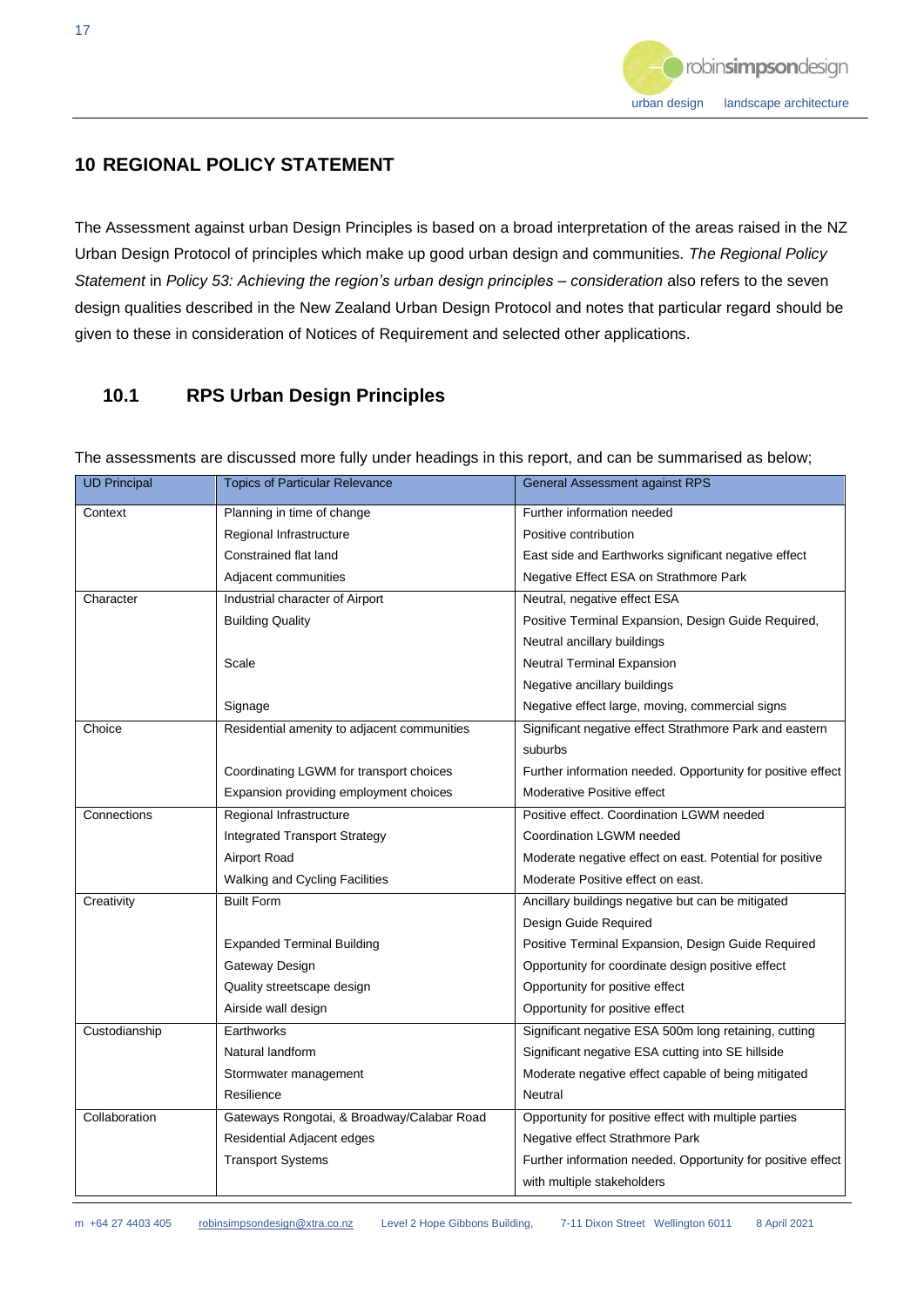# **10 REGIONAL POLICY STATEMENT**

The Assessment against urban Design Principles is based on a broad interpretation of the areas raised in the NZ Urban Design Protocol of principles which make up good urban design and communities. *The Regional Policy Statement* in *Policy 53: Achieving the region's urban design principles – consideration* also refers to the seven design qualities described in the New Zealand Urban Design Protocol and notes that particular regard should be given to these in consideration of Notices of Requirement and selected other applications.

# **10.1 RPS Urban Design Principles**

| <b>UD Principal</b> | <b>Topics of Particular Relevance</b>       | General Assessment against RPS                              |
|---------------------|---------------------------------------------|-------------------------------------------------------------|
| Context             | Planning in time of change                  | Further information needed                                  |
|                     | Regional Infrastructure                     | Positive contribution                                       |
|                     | Constrained flat land                       | East side and Earthworks significant negative effect        |
|                     | Adjacent communities                        | Negative Effect ESA on Strathmore Park                      |
| Character           | Industrial character of Airport             | Neutral, negative effect ESA                                |
|                     | <b>Building Quality</b>                     | Positive Terminal Expansion, Design Guide Required,         |
|                     |                                             | Neutral ancillary buildings                                 |
|                     | Scale                                       | Neutral Terminal Expansion                                  |
|                     |                                             | Negative ancillary buildings                                |
|                     | Signage                                     | Negative effect large, moving, commercial signs             |
| Choice              | Residential amenity to adjacent communities | Significant negative effect Strathmore Park and eastern     |
|                     |                                             | suburbs                                                     |
|                     | Coordinating LGWM for transport choices     | Further information needed. Opportunity for positive effect |
|                     | Expansion providing employment choices      | Moderative Positive effect                                  |
| Connections         | Regional Infrastructure                     | Positive effect. Coordination LGWM needed                   |
|                     | Integrated Transport Strategy               | Coordination LGWM needed                                    |
|                     | Airport Road                                | Moderate negative effect on east. Potential for positive    |
|                     | Walking and Cycling Facilities              | Moderate Positive effect on east.                           |
| Creativity          | <b>Built Form</b>                           | Ancillary buildings negative but can be mitigated           |
|                     |                                             | Design Guide Required                                       |
|                     | <b>Expanded Terminal Building</b>           | Positive Terminal Expansion, Design Guide Required          |
|                     | Gateway Design                              | Opportunity for coordinate design positive effect           |
|                     | Quality streetscape design                  | Opportunity for positive effect                             |
|                     | Airside wall design                         | Opportunity for positive effect                             |
| Custodianship       | Earthworks                                  | Significant negative ESA 500m long retaining, cutting       |
|                     | Natural landform                            | Significant negative ESA cutting into SE hillside           |
|                     | Stormwater management                       | Moderate negative effect capable of being mitigated         |
|                     | Resilience                                  | Neutral                                                     |
| Collaboration       | Gateways Rongotai, & Broadway/Calabar Road  | Opportunity for positive effect with multiple parties       |
|                     | Residential Adjacent edges                  | Negative effect Strathmore Park                             |
|                     | <b>Transport Systems</b>                    | Further information needed. Opportunity for positive effect |
|                     |                                             | with multiple stakeholders                                  |

The assessments are discussed more fully under headings in this report, and can be summarised as below;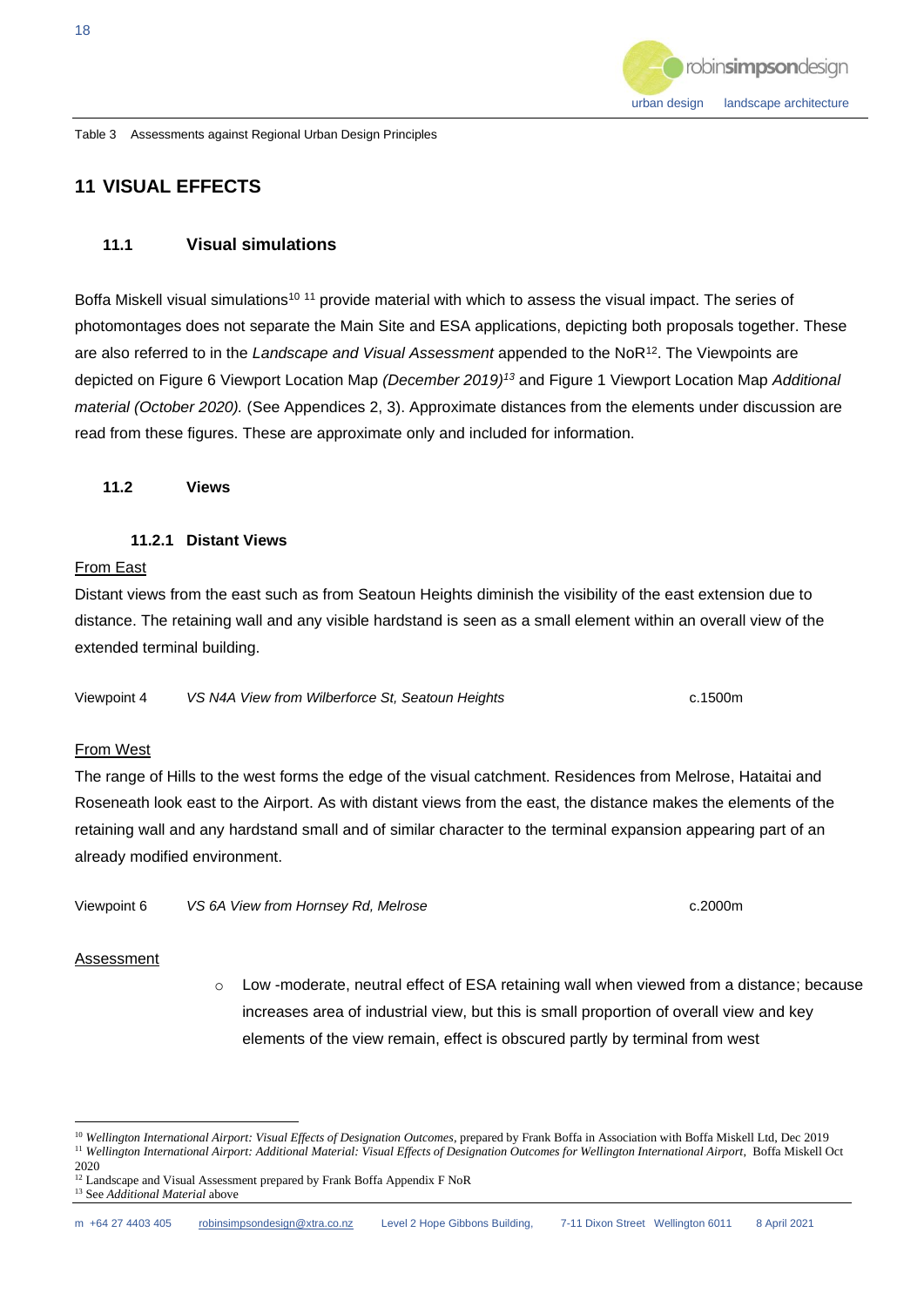

Table 3 Assessments against Regional Urban Design Principles

# **11 VISUAL EFFECTS**

#### **11.1 Visual simulations**

Boffa Miskell visual simulations<sup>10</sup> <sup>11</sup> provide material with which to assess the visual impact. The series of photomontages does not separate the Main Site and ESA applications, depicting both proposals together. These are also referred to in the *Landscape and Visual Assessment* appended to the NoR<sup>12</sup>. The Viewpoints are depicted on Figure 6 Viewport Location Map *(December 2019)<sup>13</sup>* and Figure 1 Viewport Location Map *Additional material (October 2020).* (See Appendices 2, 3). Approximate distances from the elements under discussion are read from these figures. These are approximate only and included for information.

**11.2 Views**

#### **11.2.1 Distant Views**

#### From East

Distant views from the east such as from Seatoun Heights diminish the visibility of the east extension due to distance. The retaining wall and any visible hardstand is seen as a small element within an overall view of the extended terminal building.

| Viewpoint 4 | VS N4A View from Wilberforce St, Seatoun Heights | c.1500m |
|-------------|--------------------------------------------------|---------|
|-------------|--------------------------------------------------|---------|

#### From West

The range of Hills to the west forms the edge of the visual catchment. Residences from Melrose, Hataitai and Roseneath look east to the Airport. As with distant views from the east, the distance makes the elements of the retaining wall and any hardstand small and of similar character to the terminal expansion appearing part of an already modified environment.

Viewpoint 6 *VS 6A View from Hornsey Rd, Melrose* c.2000m

#### Assessment

o Low -moderate, neutral effect of ESA retaining wall when viewed from a distance; because increases area of industrial view, but this is small proportion of overall view and key elements of the view remain, effect is obscured partly by terminal from west

<sup>10</sup> *Wellington International Airport: Visual Effects of Designation Outcomes*, prepared by Frank Boffa in Association with Boffa Miskell Ltd, Dec 2019 <sup>11</sup> *Wellington International Airport: Additional Material: Visual Effects of Designation Outcomes for Wellington International Airport*, Boffa Miskell Oct 2020

<sup>&</sup>lt;sup>12</sup> Landscape and Visual Assessment prepared by Frank Boffa Appendix F NoR

<sup>13</sup> See *Additional Material* above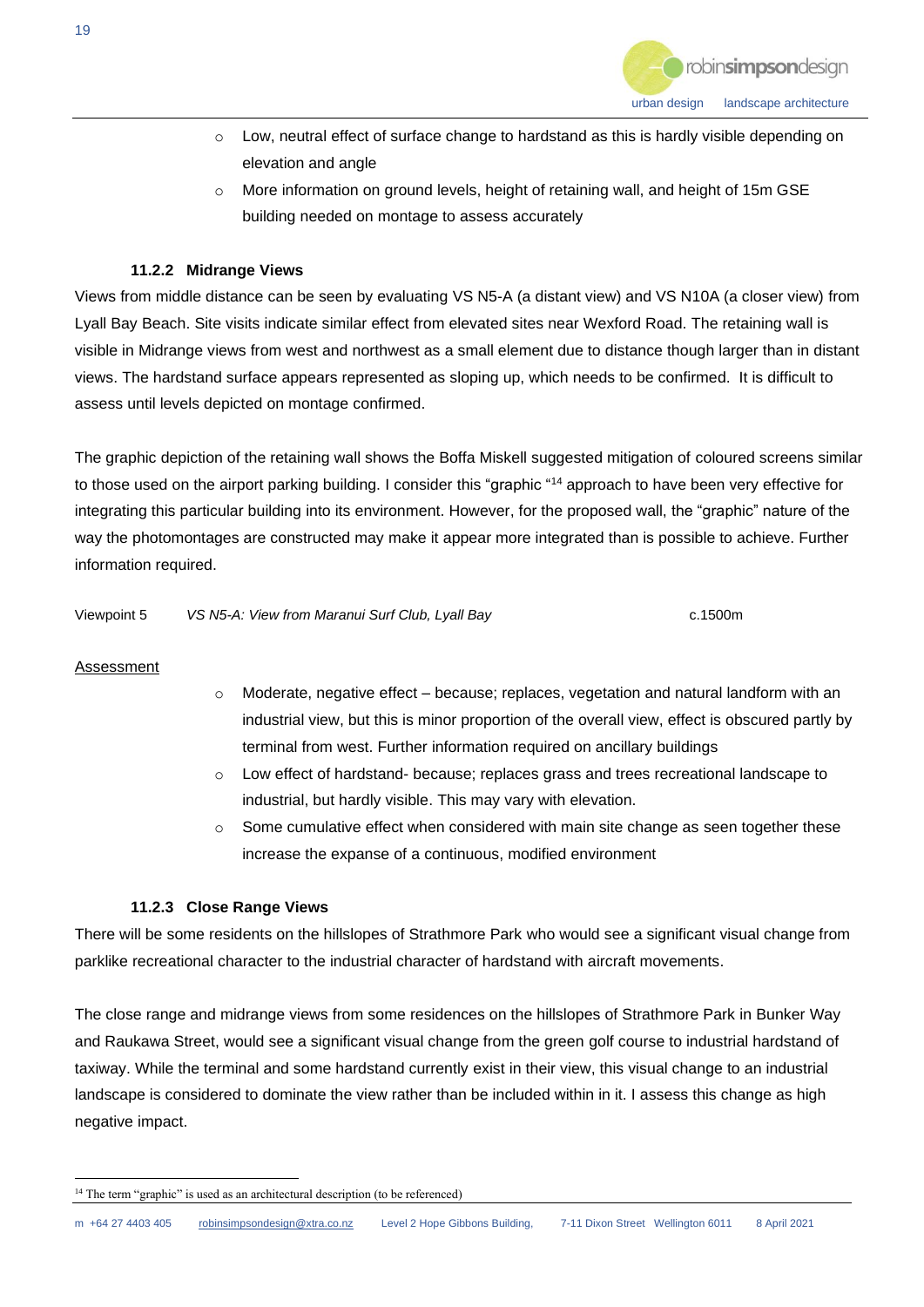

- o Low, neutral effect of surface change to hardstand as this is hardly visible depending on elevation and angle
- o More information on ground levels, height of retaining wall, and height of 15m GSE building needed on montage to assess accurately

#### **11.2.2 Midrange Views**

Views from middle distance can be seen by evaluating VS N5-A (a distant view) and VS N10A (a closer view) from Lyall Bay Beach. Site visits indicate similar effect from elevated sites near Wexford Road. The retaining wall is visible in Midrange views from west and northwest as a small element due to distance though larger than in distant views. The hardstand surface appears represented as sloping up, which needs to be confirmed. It is difficult to assess until levels depicted on montage confirmed.

The graphic depiction of the retaining wall shows the Boffa Miskell suggested mitigation of coloured screens similar to those used on the airport parking building. I consider this "graphic "<sup>14</sup> approach to have been very effective for integrating this particular building into its environment. However, for the proposed wall, the "graphic" nature of the way the photomontages are constructed may make it appear more integrated than is possible to achieve. Further information required.

Viewpoint 5 *VS N5-A: View from Maranui Surf Club, Lyall Bay* c.1500m

#### Assessment

- $\circ$  Moderate, negative effect because; replaces, vegetation and natural landform with an industrial view, but this is minor proportion of the overall view, effect is obscured partly by terminal from west. Further information required on ancillary buildings
- o Low effect of hardstand- because; replaces grass and trees recreational landscape to industrial, but hardly visible. This may vary with elevation.
- $\circ$  Some cumulative effect when considered with main site change as seen together these increase the expanse of a continuous, modified environment

#### **11.2.3 Close Range Views**

There will be some residents on the hillslopes of Strathmore Park who would see a significant visual change from parklike recreational character to the industrial character of hardstand with aircraft movements.

The close range and midrange views from some residences on the hillslopes of Strathmore Park in Bunker Way and Raukawa Street, would see a significant visual change from the green golf course to industrial hardstand of taxiway. While the terminal and some hardstand currently exist in their view, this visual change to an industrial landscape is considered to dominate the view rather than be included within in it. I assess this change as high negative impact.

<sup>&</sup>lt;sup>14</sup> The term "graphic" is used as an architectural description (to be referenced)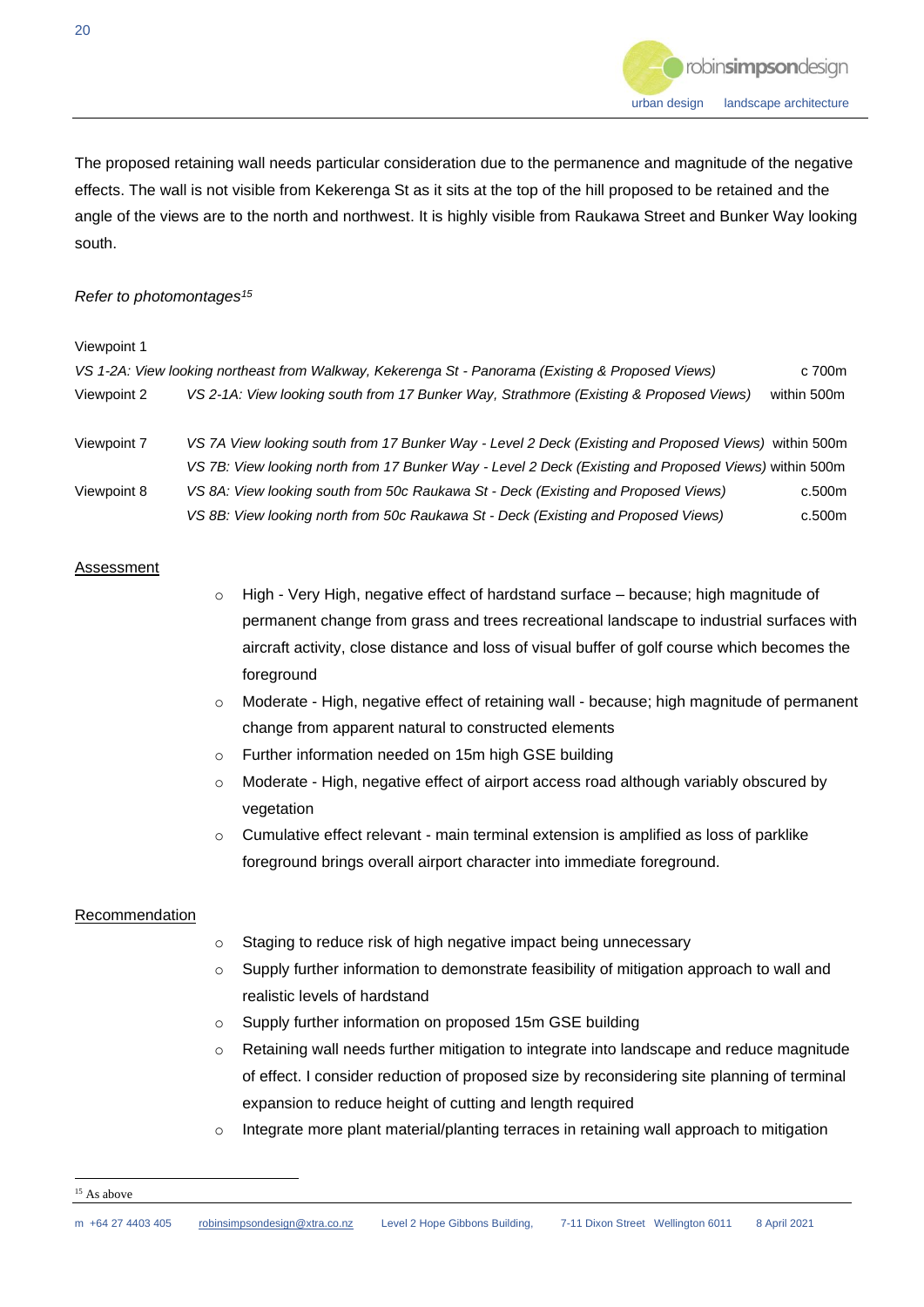The proposed retaining wall needs particular consideration due to the permanence and magnitude of the negative effects. The wall is not visible from Kekerenga St as it sits at the top of the hill proposed to be retained and the angle of the views are to the north and northwest. It is highly visible from Raukawa Street and Bunker Way looking south.

#### *Refer to photomontages<sup>15</sup>*

#### Viewpoint 1

|             | VS 1-2A: View looking northeast from Walkway, Kekerenga St - Panorama (Existing & Proposed Views)     | c 700m      |
|-------------|-------------------------------------------------------------------------------------------------------|-------------|
| Viewpoint 2 | VS 2-1A: View looking south from 17 Bunker Way, Strathmore (Existing & Proposed Views)                | within 500m |
|             |                                                                                                       |             |
| Viewpoint 7 | VS 7A View looking south from 17 Bunker Way - Level 2 Deck (Existing and Proposed Views) within 500m  |             |
|             | VS 7B: View looking north from 17 Bunker Way - Level 2 Deck (Existing and Proposed Views) within 500m |             |
| Viewpoint 8 | VS 8A: View looking south from 50c Raukawa St - Deck (Existing and Proposed Views)                    | c.500m      |
|             | VS 8B: View looking north from 50c Raukawa St - Deck (Existing and Proposed Views)                    | c.500m      |

#### **Assessment**

- o High Very High, negative effect of hardstand surface because; high magnitude of permanent change from grass and trees recreational landscape to industrial surfaces with aircraft activity, close distance and loss of visual buffer of golf course which becomes the foreground
- o Moderate High, negative effect of retaining wall because; high magnitude of permanent change from apparent natural to constructed elements
- o Further information needed on 15m high GSE building
- o Moderate High, negative effect of airport access road although variably obscured by vegetation
- $\circ$  Cumulative effect relevant main terminal extension is amplified as loss of parklike foreground brings overall airport character into immediate foreground.

#### Recommendation

- o Staging to reduce risk of high negative impact being unnecessary
- $\circ$  Supply further information to demonstrate feasibility of mitigation approach to wall and realistic levels of hardstand
- o Supply further information on proposed 15m GSE building
- o Retaining wall needs further mitigation to integrate into landscape and reduce magnitude of effect. I consider reduction of proposed size by reconsidering site planning of terminal expansion to reduce height of cutting and length required
- o Integrate more plant material/planting terraces in retaining wall approach to mitigation

<sup>20</sup>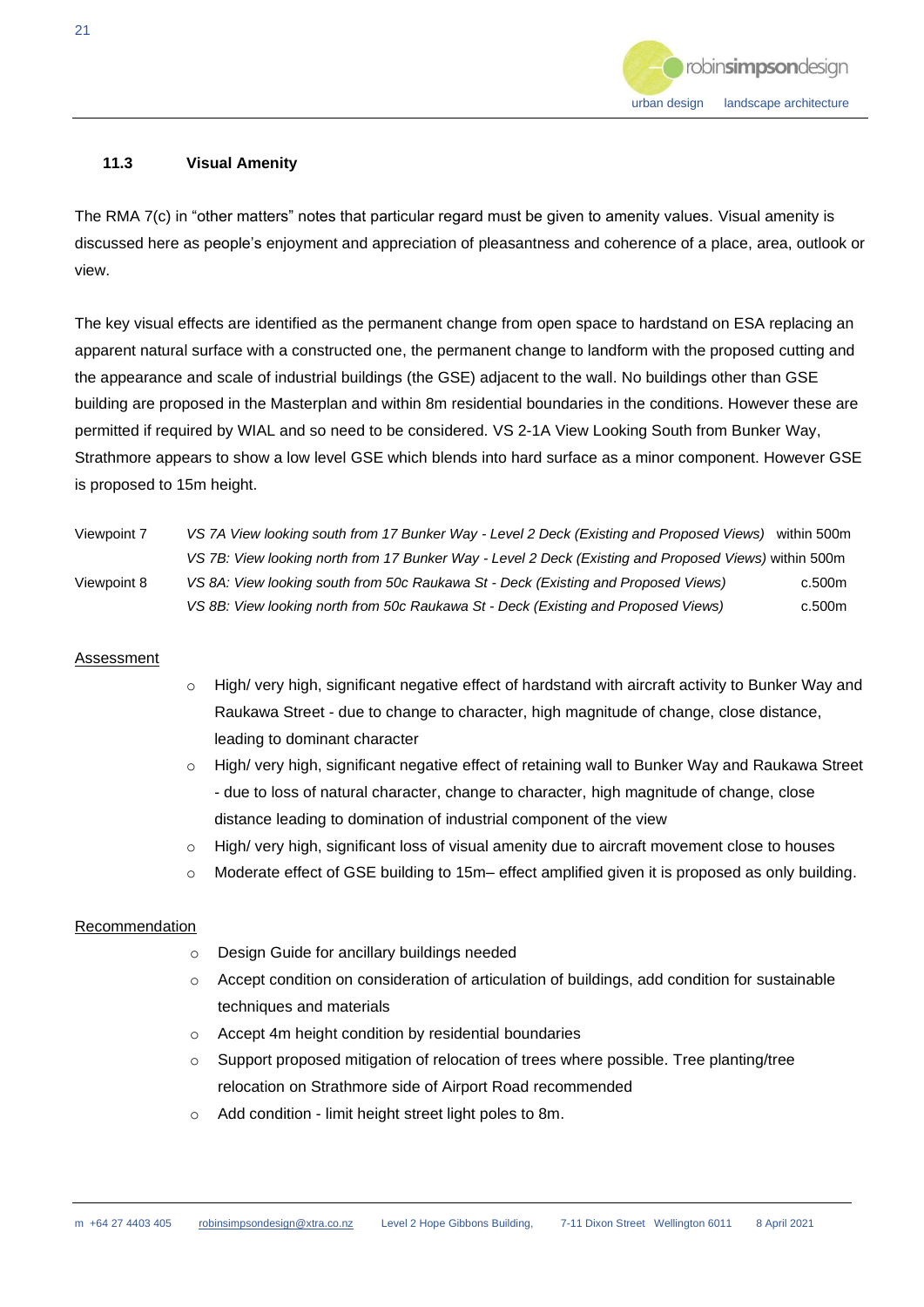

## **11.3 Visual Amenity**

The RMA 7(c) in "other matters" notes that particular regard must be given to amenity values. Visual amenity is discussed here as people's enjoyment and appreciation of pleasantness and coherence of a place, area, outlook or view.

The key visual effects are identified as the permanent change from open space to hardstand on ESA replacing an apparent natural surface with a constructed one, the permanent change to landform with the proposed cutting and the appearance and scale of industrial buildings (the GSE) adjacent to the wall. No buildings other than GSE building are proposed in the Masterplan and within 8m residential boundaries in the conditions. However these are permitted if required by WIAL and so need to be considered. VS 2-1A View Looking South from Bunker Way, Strathmore appears to show a low level GSE which blends into hard surface as a minor component. However GSE is proposed to 15m height.

| Viewpoint 7 | VS 7A View looking south from 17 Bunker Way - Level 2 Deck (Existing and Proposed Views) within 500m  |        |
|-------------|-------------------------------------------------------------------------------------------------------|--------|
|             | VS 7B: View looking north from 17 Bunker Way - Level 2 Deck (Existing and Proposed Views) within 500m |        |
| Viewpoint 8 | VS 8A: View looking south from 50c Raukawa St - Deck (Existing and Proposed Views)                    | c.500m |
|             | VS 8B: View looking north from 50c Raukawa St - Deck (Existing and Proposed Views)                    | c.500m |

#### Assessment

- o High/ very high, significant negative effect of hardstand with aircraft activity to Bunker Way and Raukawa Street - due to change to character, high magnitude of change, close distance, leading to dominant character
- o High/ very high, significant negative effect of retaining wall to Bunker Way and Raukawa Street - due to loss of natural character, change to character, high magnitude of change, close distance leading to domination of industrial component of the view
- $\circ$  High/ very high, significant loss of visual amenity due to aircraft movement close to houses
- o Moderate effect of GSE building to 15m– effect amplified given it is proposed as only building.

#### Recommendation

- o Design Guide for ancillary buildings needed
- $\circ$  Accept condition on consideration of articulation of buildings, add condition for sustainable techniques and materials
- o Accept 4m height condition by residential boundaries
- o Support proposed mitigation of relocation of trees where possible. Tree planting/tree relocation on Strathmore side of Airport Road recommended
- o Add condition limit height street light poles to 8m.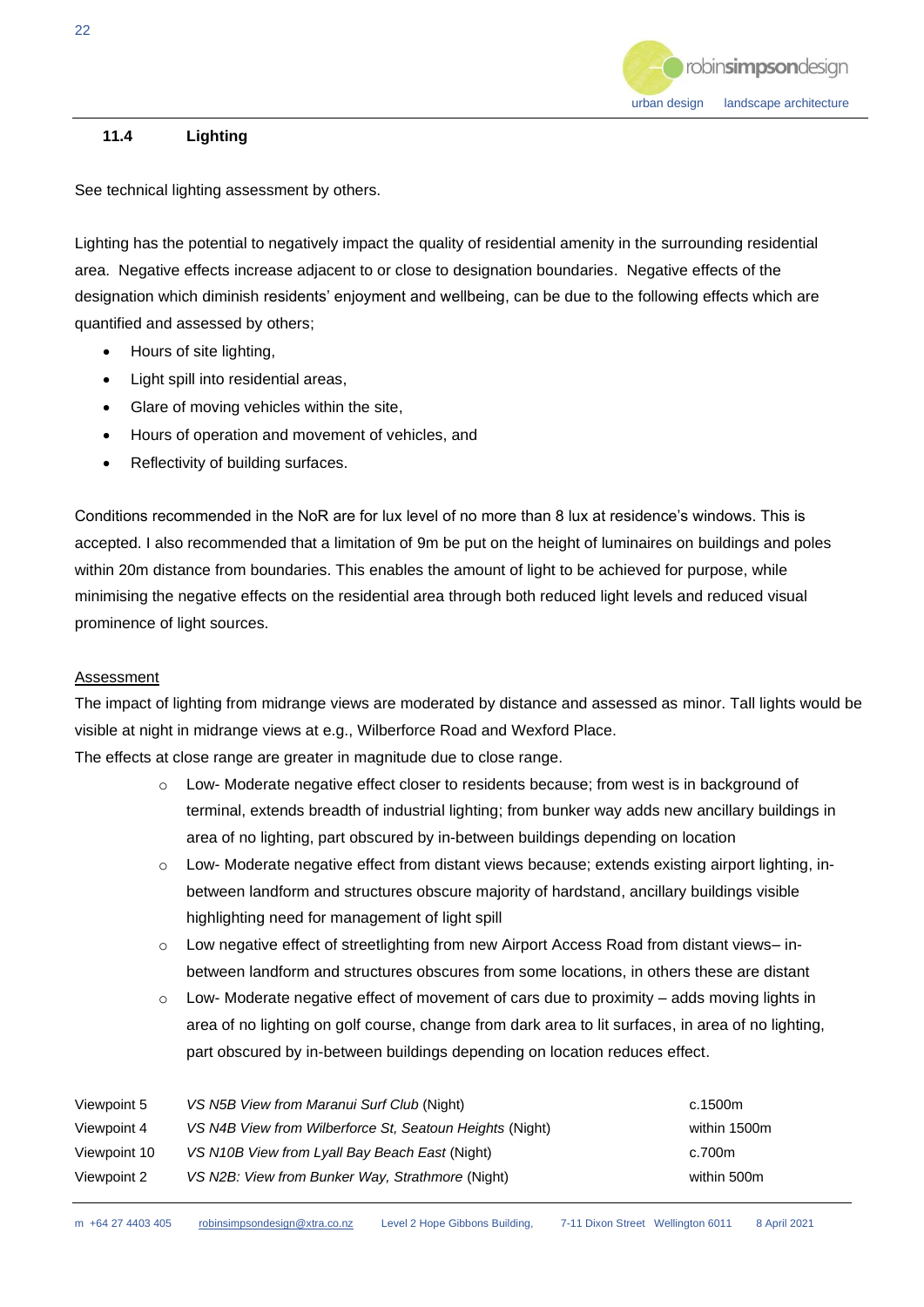#### **11.4 Lighting**

See technical lighting assessment by others.

Lighting has the potential to negatively impact the quality of residential amenity in the surrounding residential area. Negative effects increase adjacent to or close to designation boundaries. Negative effects of the designation which diminish residents' enjoyment and wellbeing, can be due to the following effects which are quantified and assessed by others;

urban design landscape architecture

robinsimpsondesign

- Hours of site lighting,
- Light spill into residential areas,
- Glare of moving vehicles within the site,
- Hours of operation and movement of vehicles, and
- Reflectivity of building surfaces.

Conditions recommended in the NoR are for lux level of no more than 8 lux at residence's windows. This is accepted. I also recommended that a limitation of 9m be put on the height of luminaires on buildings and poles within 20m distance from boundaries. This enables the amount of light to be achieved for purpose, while minimising the negative effects on the residential area through both reduced light levels and reduced visual prominence of light sources.

#### Assessment

The impact of lighting from midrange views are moderated by distance and assessed as minor. Tall lights would be visible at night in midrange views at e.g., Wilberforce Road and Wexford Place.

The effects at close range are greater in magnitude due to close range.

- o Low- Moderate negative effect closer to residents because; from west is in background of terminal, extends breadth of industrial lighting; from bunker way adds new ancillary buildings in area of no lighting, part obscured by in-between buildings depending on location
- o Low- Moderate negative effect from distant views because; extends existing airport lighting, inbetween landform and structures obscure majority of hardstand, ancillary buildings visible highlighting need for management of light spill
- o Low negative effect of streetlighting from new Airport Access Road from distant views– inbetween landform and structures obscures from some locations, in others these are distant
- $\circ$  Low- Moderate negative effect of movement of cars due to proximity adds moving lights in area of no lighting on golf course, change from dark area to lit surfaces, in area of no lighting, part obscured by in-between buildings depending on location reduces effect.

| Viewpoint 5  | VS N5B View from Maranui Surf Club (Night)               | c.1500m      |
|--------------|----------------------------------------------------------|--------------|
| Viewpoint 4  | VS N4B View from Wilberforce St. Seatoun Heights (Night) | within 1500m |
| Viewpoint 10 | VS N10B View from Lyall Bay Beach East (Night)           | c.700m       |
| Viewpoint 2  | VS N2B: View from Bunker Way, Strathmore (Night)         | within 500m  |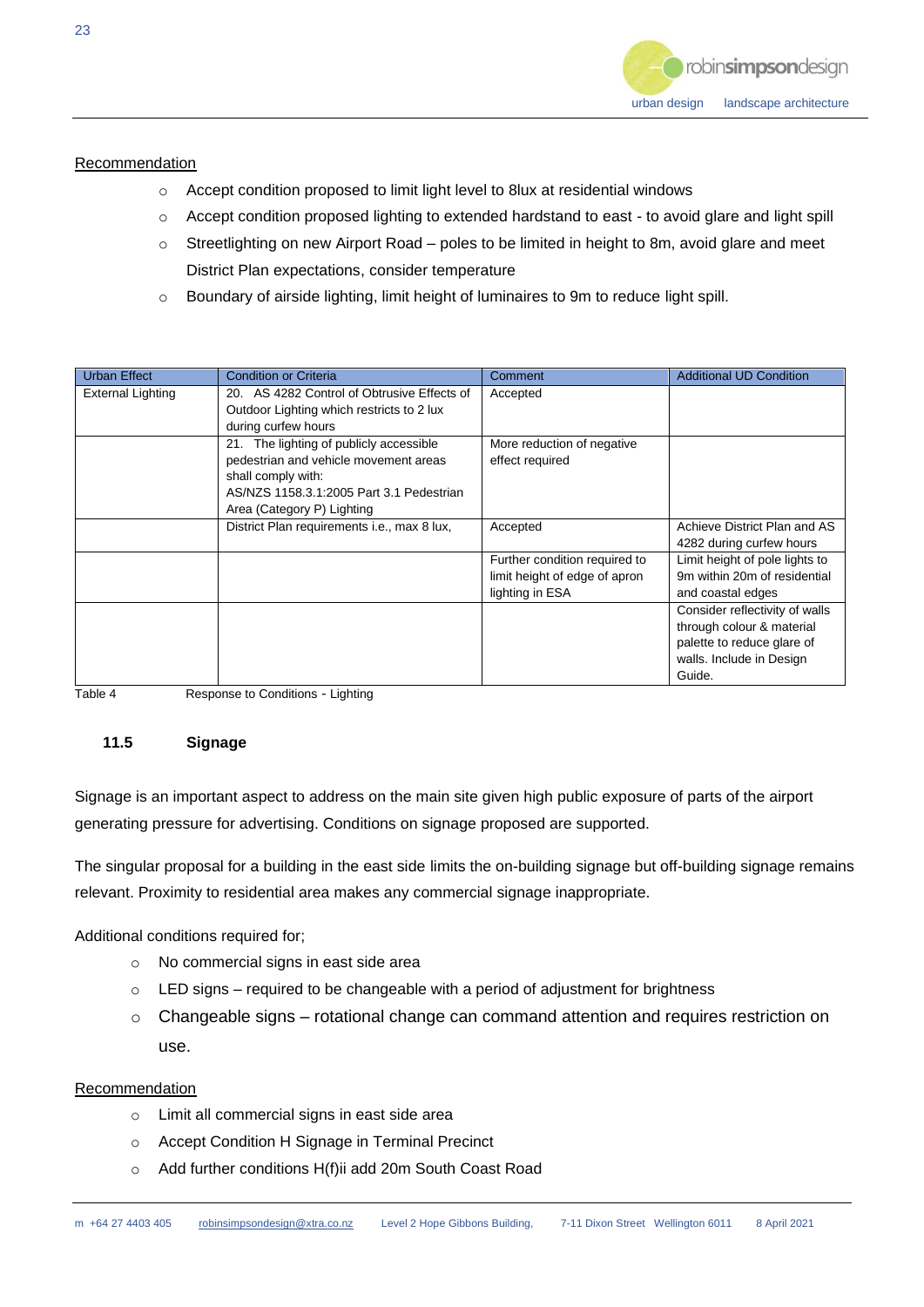#### Recommendation

- o Accept condition proposed to limit light level to 8lux at residential windows
- $\circ$  Accept condition proposed lighting to extended hardstand to east to avoid glare and light spill
- o Streetlighting on new Airport Road poles to be limited in height to 8m, avoid glare and meet District Plan expectations, consider temperature
- o Boundary of airside lighting, limit height of luminaires to 9m to reduce light spill.

| <b>Urban Effect</b>      | <b>Condition or Criteria</b>                | Comment                       | <b>Additional UD Condition</b> |
|--------------------------|---------------------------------------------|-------------------------------|--------------------------------|
| <b>External Lighting</b> | 20. AS 4282 Control of Obtrusive Effects of | Accepted                      |                                |
|                          | Outdoor Lighting which restricts to 2 lux   |                               |                                |
|                          | during curfew hours                         |                               |                                |
|                          | 21. The lighting of publicly accessible     | More reduction of negative    |                                |
|                          | pedestrian and vehicle movement areas       | effect required               |                                |
|                          | shall comply with:                          |                               |                                |
|                          | AS/NZS 1158.3.1:2005 Part 3.1 Pedestrian    |                               |                                |
|                          | Area (Category P) Lighting                  |                               |                                |
|                          | District Plan requirements i.e., max 8 lux, | Accepted                      | Achieve District Plan and AS   |
|                          |                                             |                               | 4282 during curfew hours       |
|                          |                                             | Further condition required to | Limit height of pole lights to |
|                          |                                             | limit height of edge of apron | 9m within 20m of residential   |
|                          |                                             | lighting in ESA               | and coastal edges              |
|                          |                                             |                               | Consider reflectivity of walls |
|                          |                                             |                               | through colour & material      |
|                          |                                             |                               | palette to reduce glare of     |
|                          |                                             |                               | walls. Include in Design       |
|                          |                                             |                               | Guide.                         |

Table 4 Response to Conditions - Lighting

#### **11.5 Signage**

Signage is an important aspect to address on the main site given high public exposure of parts of the airport generating pressure for advertising. Conditions on signage proposed are supported.

The singular proposal for a building in the east side limits the on-building signage but off-building signage remains relevant. Proximity to residential area makes any commercial signage inappropriate.

Additional conditions required for;

- o No commercial signs in east side area
- $\circ$  LED signs required to be changeable with a period of adjustment for brightness
- o Changeable signs rotational change can command attention and requires restriction on use.

#### Recommendation

- o Limit all commercial signs in east side area
- o Accept Condition H Signage in Terminal Precinct
- o Add further conditions H(f)ii add 20m South Coast Road

23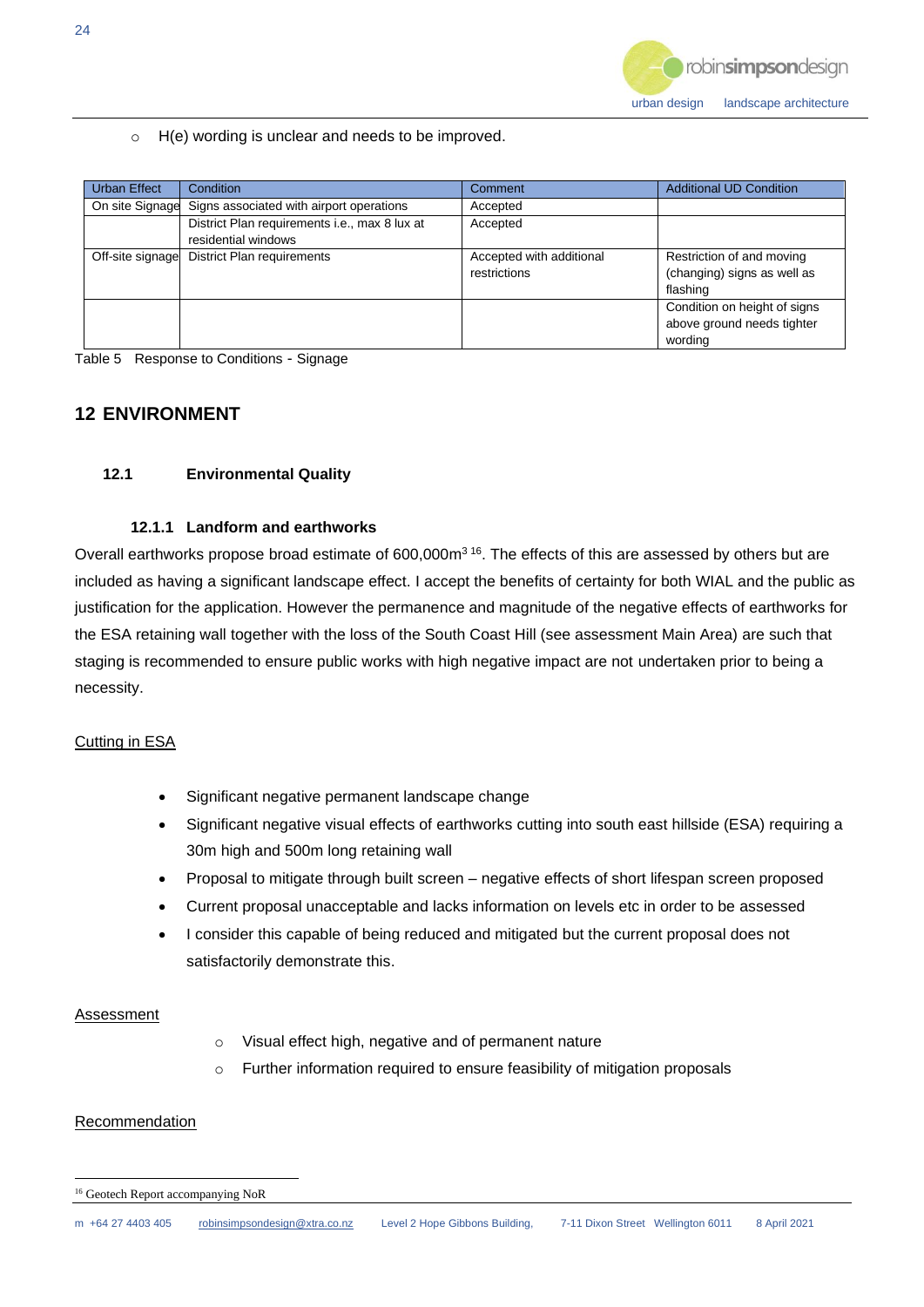

#### o H(e) wording is unclear and needs to be improved.

| Urban Effect     | <b>Condition</b>                                                     | Comment                                  | <b>Additional UD Condition</b>                                        |
|------------------|----------------------------------------------------------------------|------------------------------------------|-----------------------------------------------------------------------|
| On site Signage  | Signs associated with airport operations                             | Accepted                                 |                                                                       |
|                  | District Plan requirements i.e., max 8 lux at<br>residential windows | Accepted                                 |                                                                       |
| Off-site signage | District Plan requirements                                           | Accepted with additional<br>restrictions | Restriction of and moving<br>(changing) signs as well as<br>flashing  |
|                  |                                                                      |                                          | Condition on height of signs<br>above ground needs tighter<br>wording |

Table 5 Response to Conditions - Signage

## **12 ENVIRONMENT**

#### **12.1 Environmental Quality**

#### **12.1.1 Landform and earthworks**

Overall earthworks propose broad estimate of 600,000m<sup>3</sup> <sup>16</sup>. The effects of this are assessed by others but are included as having a significant landscape effect. I accept the benefits of certainty for both WIAL and the public as justification for the application. However the permanence and magnitude of the negative effects of earthworks for the ESA retaining wall together with the loss of the South Coast Hill (see assessment Main Area) are such that staging is recommended to ensure public works with high negative impact are not undertaken prior to being a necessity.

#### Cutting in ESA

- Significant negative permanent landscape change
- Significant negative visual effects of earthworks cutting into south east hillside (ESA) requiring a 30m high and 500m long retaining wall
- Proposal to mitigate through built screen negative effects of short lifespan screen proposed
- Current proposal unacceptable and lacks information on levels etc in order to be assessed
- I consider this capable of being reduced and mitigated but the current proposal does not satisfactorily demonstrate this.

#### Assessment

- o Visual effect high, negative and of permanent nature
- o Further information required to ensure feasibility of mitigation proposals

#### Recommendation

<sup>16</sup> Geotech Report accompanying NoR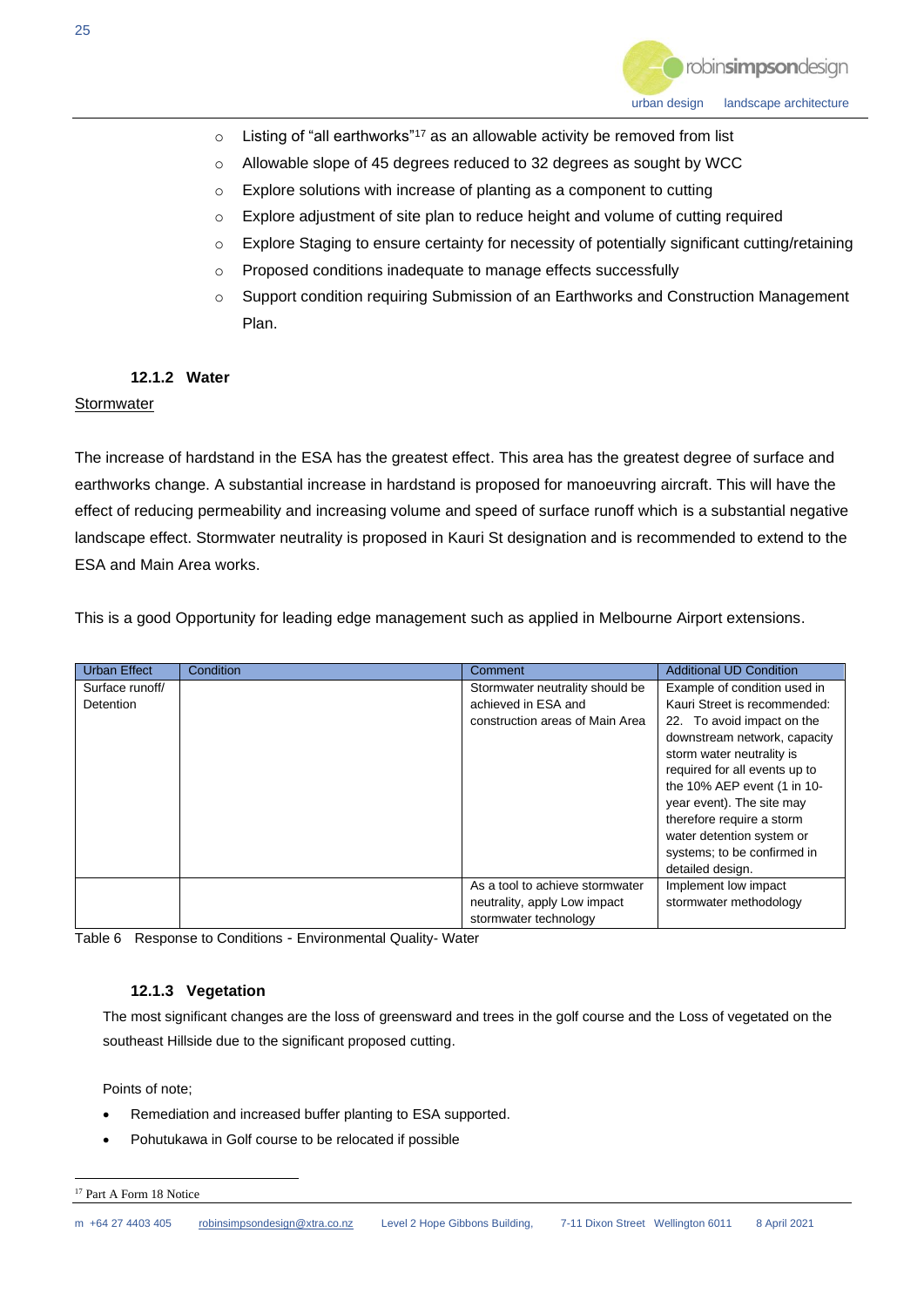

- o Listing of "all earthworks"<sup>17</sup> as an allowable activity be removed from list
- o Allowable slope of 45 degrees reduced to 32 degrees as sought by WCC
- o Explore solutions with increase of planting as a component to cutting
- $\circ$  Explore adjustment of site plan to reduce height and volume of cutting required
- o Explore Staging to ensure certainty for necessity of potentially significant cutting/retaining
- o Proposed conditions inadequate to manage effects successfully
- o Support condition requiring Submission of an Earthworks and Construction Management Plan.

#### **12.1.2 Water**

#### **Stormwater**

The increase of hardstand in the ESA has the greatest effect. This area has the greatest degree of surface and earthworks change. A substantial increase in hardstand is proposed for manoeuvring aircraft. This will have the effect of reducing permeability and increasing volume and speed of surface runoff which is a substantial negative landscape effect. Stormwater neutrality is proposed in Kauri St designation and is recommended to extend to the ESA and Main Area works.

| <b>Urban Effect</b>                 | Condition | Comment                                                                                   | <b>Additional UD Condition</b>                                                                                                                                                                                                                                                                                                                                    |
|-------------------------------------|-----------|-------------------------------------------------------------------------------------------|-------------------------------------------------------------------------------------------------------------------------------------------------------------------------------------------------------------------------------------------------------------------------------------------------------------------------------------------------------------------|
| Surface runoff/<br><b>Detention</b> |           | Stormwater neutrality should be<br>achieved in ESA and<br>construction areas of Main Area | Example of condition used in<br>Kauri Street is recommended:<br>22. To avoid impact on the<br>downstream network, capacity<br>storm water neutrality is<br>required for all events up to<br>the 10% AEP event (1 in 10-<br>year event). The site may<br>therefore require a storm<br>water detention system or<br>systems; to be confirmed in<br>detailed design. |
|                                     |           | As a tool to achieve stormwater<br>neutrality, apply Low impact<br>stormwater technology  | Implement low impact<br>stormwater methodology                                                                                                                                                                                                                                                                                                                    |

This is a good Opportunity for leading edge management such as applied in Melbourne Airport extensions.

Table 6 Response to Conditions - Environmental Quality- Water

#### **12.1.3 Vegetation**

The most significant changes are the loss of greensward and trees in the golf course and the Loss of vegetated on the southeast Hillside due to the significant proposed cutting.

Points of note;

- Remediation and increased buffer planting to ESA supported.
- Pohutukawa in Golf course to be relocated if possible

<sup>17</sup> Part A Form 18 Notice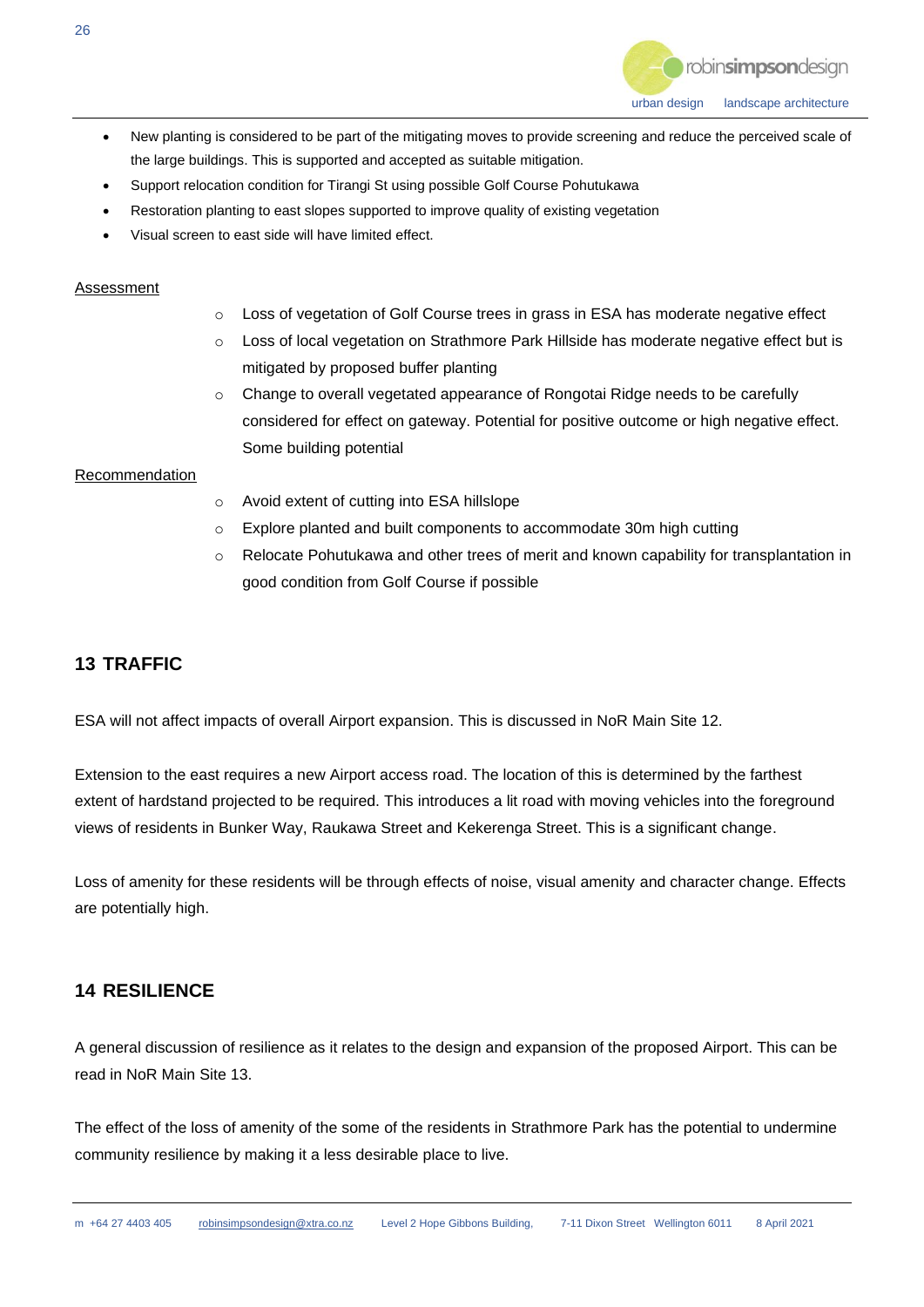- New planting is considered to be part of the mitigating moves to provide screening and reduce the perceived scale of the large buildings. This is supported and accepted as suitable mitigation.
- Support relocation condition for Tirangi St using possible Golf Course Pohutukawa
- Restoration planting to east slopes supported to improve quality of existing vegetation
- Visual screen to east side will have limited effect.

#### Assessment

- o Loss of vegetation of Golf Course trees in grass in ESA has moderate negative effect
- o Loss of local vegetation on Strathmore Park Hillside has moderate negative effect but is mitigated by proposed buffer planting
- o Change to overall vegetated appearance of Rongotai Ridge needs to be carefully considered for effect on gateway. Potential for positive outcome or high negative effect. Some building potential

#### Recommendation

- o Avoid extent of cutting into ESA hillslope
- o Explore planted and built components to accommodate 30m high cutting
- o Relocate Pohutukawa and other trees of merit and known capability for transplantation in good condition from Golf Course if possible

# **13 TRAFFIC**

ESA will not affect impacts of overall Airport expansion. This is discussed in NoR Main Site 12.

Extension to the east requires a new Airport access road. The location of this is determined by the farthest extent of hardstand projected to be required. This introduces a lit road with moving vehicles into the foreground views of residents in Bunker Way, Raukawa Street and Kekerenga Street. This is a significant change.

Loss of amenity for these residents will be through effects of noise, visual amenity and character change. Effects are potentially high.

#### **14 RESILIENCE**

A general discussion of resilience as it relates to the design and expansion of the proposed Airport. This can be read in NoR Main Site 13.

The effect of the loss of amenity of the some of the residents in Strathmore Park has the potential to undermine community resilience by making it a less desirable place to live.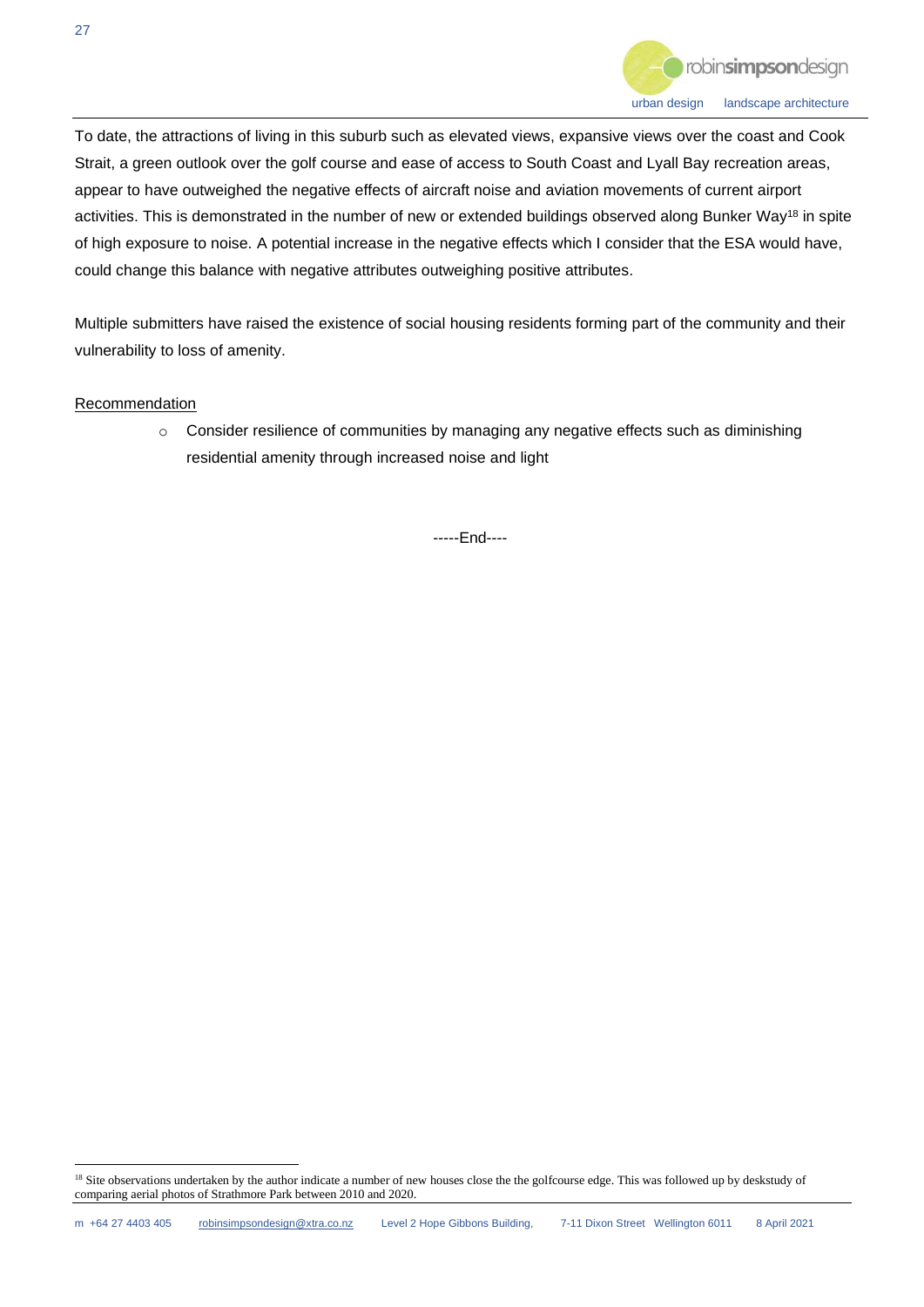To date, the attractions of living in this suburb such as elevated views, expansive views over the coast and Cook Strait, a green outlook over the golf course and ease of access to South Coast and Lyall Bay recreation areas, appear to have outweighed the negative effects of aircraft noise and aviation movements of current airport activities. This is demonstrated in the number of new or extended buildings observed along Bunker Way<sup>18</sup> in spite of high exposure to noise. A potential increase in the negative effects which I consider that the ESA would have, could change this balance with negative attributes outweighing positive attributes.

Multiple submitters have raised the existence of social housing residents forming part of the community and their vulnerability to loss of amenity.

#### Recommendation

o Consider resilience of communities by managing any negative effects such as diminishing residential amenity through increased noise and light

-----End----

<sup>&</sup>lt;sup>18</sup> Site observations undertaken by the author indicate a number of new houses close the the golfcourse edge. This was followed up by deskstudy of comparing aerial photos of Strathmore Park between 2010 and 2020.